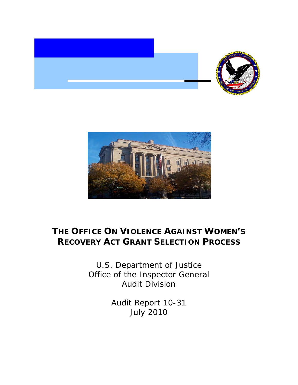



# **THE OFFICE ON VIOLENCE AGAINST WOMEN'S RECOVERY ACT GRANT SELECTION PROCESS**

U.S. Department of Justice Office of the Inspector General Audit Division

> Audit Report 10-31 July 2010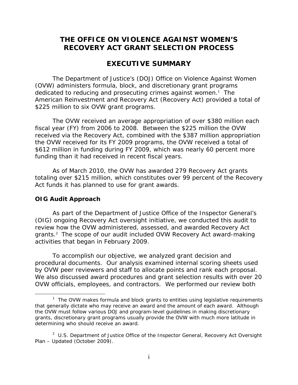### **THE OFFICE ON VIOLENCE AGAINST WOMEN'S RECOVERY ACT GRANT SELECTION PROCESS**

### **EXECUTIVE SUMMARY**

The Department of Justice's (DOJ) Office on Violence Against Women (OVW) administers formula, block, and discretionary grant programs dedicated to reducing and prosecuting crimes against women.<sup>1</sup> The American Reinvestment and Recovery Act (Recovery Act) provided a total of \$225 million to six OVW grant programs.

The OVW received an average appropriation of over \$380 million each fiscal year (FY) from 2006 to 2008. Between the \$225 million the OVW received via the Recovery Act, combined with the \$387 million appropriation the OVW received for its FY 2009 programs, the OVW received a total of \$612 million in funding during FY 2009, which was nearly 60 percent more funding than it had received in recent fiscal years.

As of March 2010, the OVW has awarded 279 Recovery Act grants totaling over \$215 million, which constitutes over 99 percent of the Recovery Act funds it has planned to use for grant awards.

#### **OIG Audit Approach**

 $\overline{a}$ 

As part of the Department of Justice Office of the Inspector General's (OIG) ongoing Recovery Act oversight initiative, we conducted this audit to review how the OVW administered, assessed, and awarded Recovery Act grants.<sup>2</sup> The scope of our audit included OVW Recovery Act award-making activities that began in February 2009.

To accomplish our objective, we analyzed grant decision and procedural documents. Our analysis examined internal scoring sheets used by OVW peer reviewers and staff to allocate points and rank each proposal. We also discussed award procedures and grant selection results with over 20 OVW officials, employees, and contractors. We performed our review both

<sup>&</sup>lt;sup>1</sup> The OVW makes formula and block grants to entities using legislative requirements that generally dictate who may receive an award and the amount of each award. Although the OVW must follow various DOJ and program-level guidelines in making discretionary grants, discretionary grant programs usually provide the OVW with much more latitude in determining who should receive an award.

<sup>2</sup> U.S. Department of Justice Office of the Inspector General, *Recovery Act Oversight Plan – Updated* (October 2009).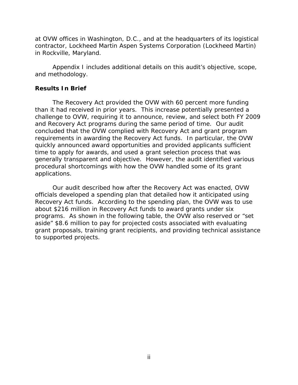at OVW offices in Washington, D.C., and at the headquarters of its logistical contractor, Lockheed Martin Aspen Systems Corporation (Lockheed Martin) in Rockville, Maryland.

Appendix I includes additional details on this audit's objective, scope, and methodology.

#### **Results In Brief**

The Recovery Act provided the OVW with 60 percent more funding than it had received in prior years. This increase potentially presented a challenge to OVW, requiring it to announce, review, and select both FY 2009 and Recovery Act programs during the same period of time. Our audit concluded that the OVW complied with Recovery Act and grant program requirements in awarding the Recovery Act funds. In particular, the OVW quickly announced award opportunities and provided applicants sufficient time to apply for awards, and used a grant selection process that was generally transparent and objective. However, the audit identified various procedural shortcomings with how the OVW handled some of its grant applications.

Our audit described how after the Recovery Act was enacted, OVW officials developed a spending plan that detailed how it anticipated using Recovery Act funds. According to the spending plan, the OVW was to use about \$216 million in Recovery Act funds to award grants under six programs. As shown in the following table, the OVW also reserved or "set aside" \$8.6 million to pay for projected costs associated with evaluating grant proposals, training grant recipients, and providing technical assistance to supported projects.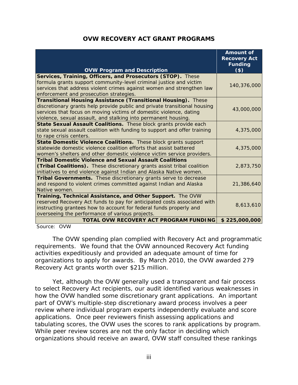|                                                                           | <b>Amount of</b><br><b>Recovery Act</b> |
|---------------------------------------------------------------------------|-----------------------------------------|
| <b>OVW Program and Description</b>                                        | <b>Funding</b><br>$($ \$                |
| Services, Training, Officers, and Prosecutors (STOP). These               |                                         |
| formula grants support community-level criminal justice and victim        | 140,376,000                             |
| services that address violent crimes against women and strengthen law     |                                         |
| enforcement and prosecution strategies.                                   |                                         |
| Transitional Housing Assistance (Transitional Housing). These             |                                         |
| discretionary grants help provide public and private transitional housing | 43,000,000                              |
| services that focus on moving victims of domestic violence, dating        |                                         |
| violence, sexual assault, and stalking into permanent housing.            |                                         |
| State Sexual Assault Coalitions. These block grants provide each          |                                         |
| state sexual assault coalition with funding to support and offer training | 4,375,000                               |
| to rape crisis centers.                                                   |                                         |
| State Domestic Violence Coalitions. These block grants support            |                                         |
| statewide domestic violence coalition efforts that assist battered        | 4,375,000                               |
| women's shelters and other domestic violence victim service providers.    |                                         |
| Tribal Domestic Violence and Sexual Assault Coalitions                    |                                         |
| (Tribal Coalitions). These discretionary grants assist tribal coalition   | 2,873,750                               |
| initiatives to end violence against Indian and Alaska Native women.       |                                         |
| Tribal Governments. These discretionary grants serve to decrease          |                                         |
| and respond to violent crimes committed against Indian and Alaska         | 21,386,640                              |
| Native women.                                                             |                                         |
| Training, Technical Assistance, and Other Support. The OVW                |                                         |
| reserved Recovery Act funds to pay for anticipated costs associated with  | 8,613,610                               |
| instructing grantees how to account for federal funds properly and        |                                         |
| overseeing the performance of various projects.                           |                                         |
| TOTAL OVW RECOVERY ACT PROGRAM FUNDING                                    | \$225,000,000                           |

Source: OVW

The OVW spending plan complied with Recovery Act and programmatic requirements. We found that the OVW announced Recovery Act funding activities expeditiously and provided an adequate amount of time for organizations to apply for awards. By March 2010, the OVW awarded 279 Recovery Act grants worth over \$215 million.

Yet, although the OVW generally used a transparent and fair process to select Recovery Act recipients, our audit identified various weaknesses in how the OVW handled some discretionary grant applications. An important part of OVW's multiple-step discretionary award process involves a peer review where individual program experts independently evaluate and score applications. Once peer reviewers finish assessing applications and tabulating scores, the OVW uses the scores to rank applications by program. While peer review scores are not the only factor in deciding which organizations should receive an award, OVW staff consulted these rankings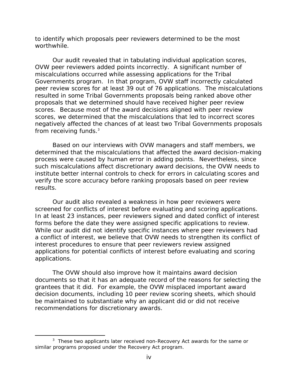to identify which proposals peer reviewers determined to be the most worthwhile.

Our audit revealed that in tabulating individual application scores, OVW peer reviewers added points incorrectly. A significant number of miscalculations occurred while assessing applications for the Tribal Governments program. In that program, OVW staff incorrectly calculated peer review scores for at least 39 out of 76 applications. The miscalculations resulted in some Tribal Governments proposals being ranked above other proposals that we determined should have received higher peer review scores. Because most of the award decisions aligned with peer review scores, we determined that the miscalculations that led to incorrect scores negatively affected the chances of at least two Tribal Governments proposals from receiving funds.<sup>3</sup>

Based on our interviews with OVW managers and staff members, we determined that the miscalculations that affected the award decision-making process were caused by human error in adding points. Nevertheless, since such miscalculations affect discretionary award decisions, the OVW needs to institute better internal controls to check for errors in calculating scores and verify the score accuracy before ranking proposals based on peer review results.

Our audit also revealed a weakness in how peer reviewers were screened for conflicts of interest before evaluating and scoring applications. In at least 23 instances, peer reviewers signed and dated conflict of interest forms before the date they were assigned specific applications to review. While our audit did not identify specific instances where peer reviewers had a conflict of interest, we believe that OVW needs to strengthen its conflict of interest procedures to ensure that peer reviewers review assigned applications for potential conflicts of interest before evaluating and scoring applications.

The OVW should also improve how it maintains award decision documents so that it has an adequate record of the reasons for selecting the grantees that it did. For example, the OVW misplaced important award decision documents, including 10 peer review scoring sheets, which should be maintained to substantiate why an applicant did or did not receive recommendations for discretionary awards.

 $3$  These two applicants later received non-Recovery Act awards for the same or similar programs proposed under the Recovery Act program.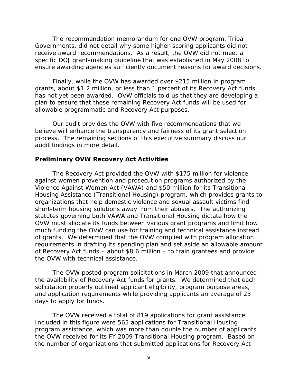The recommendation memorandum for one OVW program, Tribal Governments, did not detail why some higher-scoring applicants did not receive award recommendations. As a result, the OVW did not meet a specific DOJ grant-making guideline that was established in May 2008 to ensure awarding agencies sufficiently document reasons for award decisions.

Finally, while the OVW has awarded over \$215 million in program grants, about \$1.2 million, or less than 1 percent of its Recovery Act funds, has not yet been awarded. OVW officials told us that they are developing a plan to ensure that these remaining Recovery Act funds will be used for allowable programmatic and Recovery Act purposes.

Our audit provides the OVW with five recommendations that we believe will enhance the transparency and fairness of its grant selection process. The remaining sections of this executive summary discuss our audit findings in more detail.

#### **Preliminary OVW Recovery Act Activities**

The Recovery Act provided the OVW with \$175 million for violence against women prevention and prosecution programs authorized by the Violence Against Women Act (VAWA) and \$50 million for its Transitional Housing Assistance (Transitional Housing) program, which provides grants to organizations that help domestic violence and sexual assault victims find short-term housing solutions away from their abusers. The authorizing statutes governing both VAWA and Transitional Housing dictate how the OVW must allocate its funds between various grant programs and limit how much funding the OVW can use for training and technical assistance instead of grants. We determined that the OVW complied with program allocation requirements in drafting its spending plan and set aside an allowable amount of Recovery Act funds – about \$8.6 million – to train grantees and provide the OVW with technical assistance.

The OVW posted program solicitations in March 2009 that announced the availability of Recovery Act funds for grants. We determined that each solicitation properly outlined applicant eligibility, program purpose areas, and application requirements while providing applicants an average of 23 days to apply for funds.

The OVW received a total of 819 applications for grant assistance. Included in this figure were 565 applications for Transitional Housing program assistance, which was more than double the number of applicants the OVW received for its FY 2009 Transitional Housing program. Based on the number of organizations that submitted applications for Recovery Act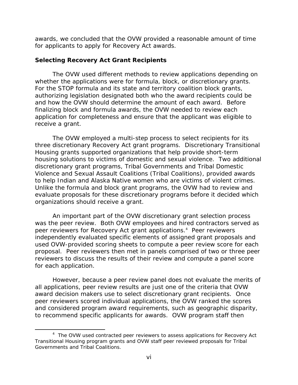awards, we concluded that the OVW provided a reasonable amount of time for applicants to apply for Recovery Act awards.

#### **Selecting Recovery Act Grant Recipients**

The OVW used different methods to review applications depending on whether the applications were for formula, block, or discretionary grants. For the STOP formula and its state and territory coalition block grants, authorizing legislation designated both who the award recipients could be and how the OVW should determine the amount of each award. Before finalizing block and formula awards, the OVW needed to review each application for completeness and ensure that the applicant was eligible to receive a grant.

The OVW employed a multi-step process to select recipients for its three discretionary Recovery Act grant programs. Discretionary Transitional Housing grants supported organizations that help provide short-term housing solutions to victims of domestic and sexual violence. Two additional discretionary grant programs, Tribal Governments and Tribal Domestic Violence and Sexual Assault Coalitions (Tribal Coalitions), provided awards to help Indian and Alaska Native women who are victims of violent crimes. Unlike the formula and block grant programs, the OVW had to review and evaluate proposals for these discretionary programs before it decided which organizations should receive a grant.

An important part of the OVW discretionary grant selection process was the peer review. Both OVW employees and hired contractors served as peer reviewers for Recovery Act grant applications.4 Peer reviewers independently evaluated specific elements of assigned grant proposals and used OVW-provided scoring sheets to compute a peer review score for each proposal. Peer reviewers then met in panels comprised of two or three peer reviewers to discuss the results of their review and compute a panel score for each application.

However, because a peer review panel does not evaluate the merits of all applications, peer review results are just one of the criteria that OVW award decision makers use to select discretionary grant recipients. Once peer reviewers scored individual applications, the OVW ranked the scores and considered program award requirements, such as geographic disparity, to recommend specific applicants for awards. OVW program staff then

Governments and Tribal Coalitions.<br>Vi <sup>4</sup> The OVW used contracted peer reviewers to assess applications for Recovery Act Transitional Housing program grants and OVW staff peer reviewed proposals for Tribal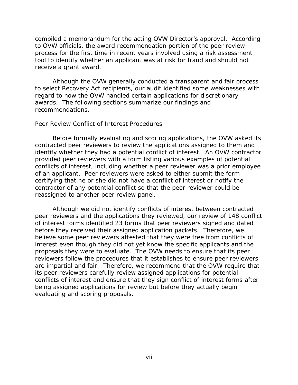compiled a memorandum for the acting OVW Director's approval. According to OVW officials, the award recommendation portion of the peer review process for the first time in recent years involved using a risk assessment tool to identify whether an applicant was at risk for fraud and should not receive a grant award.

Although the OVW generally conducted a transparent and fair process to select Recovery Act recipients, our audit identified some weaknesses with regard to how the OVW handled certain applications for discretionary awards. The following sections summarize our findings and recommendations.

#### *Peer Review Conflict of Interest Procedures*

Before formally evaluating and scoring applications, the OVW asked its contracted peer reviewers to review the applications assigned to them and identify whether they had a potential conflict of interest. An OVW contractor provided peer reviewers with a form listing various examples of potential conflicts of interest, including whether a peer reviewer was a prior employee of an applicant. Peer reviewers were asked to either submit the form certifying that he or she did not have a conflict of interest or notify the contractor of any potential conflict so that the peer reviewer could be reassigned to another peer review panel.

Although we did not identify conflicts of interest between contracted peer reviewers and the applications they reviewed, our review of 148 conflict of interest forms identified 23 forms that peer reviewers signed and dated before they received their assigned application packets. Therefore, we believe some peer reviewers attested that they were free from conflicts of interest even though they did not yet know the specific applicants and the proposals they were to evaluate. The OVW needs to ensure that its peer reviewers follow the procedures that it establishes to ensure peer reviewers are impartial and fair. Therefore, we recommend that the OVW require that its peer reviewers carefully review assigned applications for potential conflicts of interest and ensure that they sign conflict of interest forms after being assigned applications for review but before they actually begin evaluating and scoring proposals.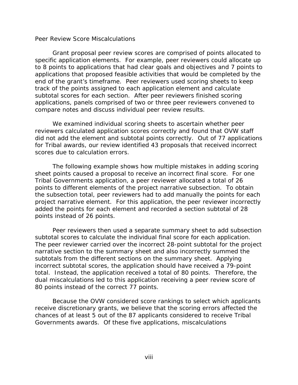#### *Peer Review Score Miscalculations*

Grant proposal peer review scores are comprised of points allocated to specific application elements. For example, peer reviewers could allocate up to 8 points to applications that had clear goals and objectives and 7 points to applications that proposed feasible activities that would be completed by the end of the grant's timeframe. Peer reviewers used scoring sheets to keep track of the points assigned to each application element and calculate subtotal scores for each section. After peer reviewers finished scoring applications, panels comprised of two or three peer reviewers convened to compare notes and discuss individual peer review results.

We examined individual scoring sheets to ascertain whether peer reviewers calculated application scores correctly and found that OVW staff did not add the element and subtotal points correctly. Out of 77 applications for Tribal awards, our review identified 43 proposals that received incorrect scores due to calculation errors.

The following example shows how multiple mistakes in adding scoring sheet points caused a proposal to receive an incorrect final score. For one Tribal Governments application, a peer reviewer allocated a total of 26 points to different elements of the project narrative subsection. To obtain the subsection total, peer reviewers had to add manually the points for each project narrative element. For this application, the peer reviewer incorrectly added the points for each element and recorded a section subtotal of 28 points instead of 26 points.

Peer reviewers then used a separate summary sheet to add subsection subtotal scores to calculate the individual final score for each application. The peer reviewer carried over the incorrect 28-point subtotal for the project narrative section to the summary sheet and also incorrectly summed the subtotals from the different sections on the summary sheet. Applying incorrect subtotal scores, the application should have received a 79-point total. Instead, the application received a total of 80 points. Therefore, the dual miscalculations led to this application receiving a peer review score of 80 points instead of the correct 77 points.

Because the OVW considered score rankings to select which applicants receive discretionary grants, we believe that the scoring errors affected the chances of at least 5 out of the 87 applicants considered to receive Tribal Governments awards. Of these five applications, miscalculations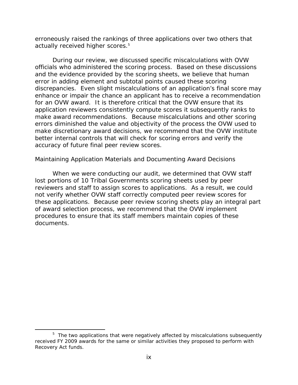erroneously raised the rankings of three applications over two others that actually received higher scores.<sup>5</sup>

During our review, we discussed specific miscalculations with OVW officials who administered the scoring process. Based on these discussions and the evidence provided by the scoring sheets, we believe that human error in adding element and subtotal points caused these scoring discrepancies. Even slight miscalculations of an application's final score may enhance or impair the chance an applicant has to receive a recommendation for an OVW award. It is therefore critical that the OVW ensure that its application reviewers consistently compute scores it subsequently ranks to make award recommendations. Because miscalculations and other scoring errors diminished the value and objectivity of the process the OVW used to make discretionary award decisions, we recommend that the OVW institute better internal controls that will check for scoring errors and verify the accuracy of future final peer review scores.

#### *Maintaining Application Materials and Documenting Award Decisions*

When we were conducting our audit, we determined that OVW staff lost portions of 10 Tribal Governments scoring sheets used by peer reviewers and staff to assign scores to applications. As a result, we could not verify whether OVW staff correctly computed peer review scores for these applications. Because peer review scoring sheets play an integral part of award selection process, we recommend that the OVW implement procedures to ensure that its staff members maintain copies of these documents.

<sup>&</sup>lt;sup>5</sup> The two applications that were negatively affected by miscalculations subsequently received FY 2009 awards for the same or similar activities they proposed to perform with Recovery Act funds.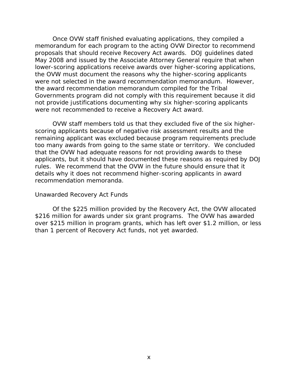Once OVW staff finished evaluating applications, they compiled a memorandum for each program to the acting OVW Director to recommend proposals that should receive Recovery Act awards. DOJ guidelines dated May 2008 and issued by the Associate Attorney General require that when lower-scoring applications receive awards over higher-scoring applications, the OVW must document the reasons why the higher-scoring applicants were not selected in the award recommendation memorandum. However, the award recommendation memorandum compiled for the Tribal Governments program did not comply with this requirement because it did not provide justifications documenting why six higher-scoring applicants were not recommended to receive a Recovery Act award.

OVW staff members told us that they excluded five of the six higherscoring applicants because of negative risk assessment results and the remaining applicant was excluded because program requirements preclude too many awards from going to the same state or territory. We concluded that the OVW had adequate reasons for not providing awards to these applicants, but it should have documented these reasons as required by DOJ rules. We recommend that the OVW in the future should ensure that it details why it does not recommend higher-scoring applicants in award recommendation memoranda.

#### *Unawarded Recovery Act Funds*

Of the \$225 million provided by the Recovery Act, the OVW allocated \$216 million for awards under six grant programs. The OVW has awarded over \$215 million in program grants, which has left over \$1.2 million, or less than 1 percent of Recovery Act funds, not yet awarded.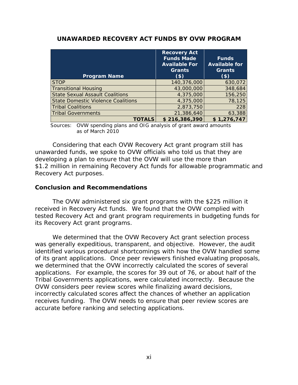| <b>Program Name</b>                                                    | <b>Recovery Act</b><br><b>Funds Made</b><br><b>Available For</b><br><b>Grants</b><br>$($ \$) | <b>Funds</b><br><b>Available for</b><br><b>Grants</b><br>$($ \$) |  |
|------------------------------------------------------------------------|----------------------------------------------------------------------------------------------|------------------------------------------------------------------|--|
| <b>STOP</b>                                                            | 140,376,000                                                                                  | 630,072                                                          |  |
| <b>Transitional Housing</b>                                            | 43,000,000                                                                                   | 348,684                                                          |  |
| <b>State Sexual Assault Coalitions</b>                                 | 4,375,000                                                                                    | 156,250                                                          |  |
| <b>State Domestic Violence Coalitions</b>                              | 4,375,000                                                                                    | 78,125                                                           |  |
| <b>Tribal Coalitions</b>                                               | 2,873,750                                                                                    | 228                                                              |  |
| <b>Tribal Governments</b>                                              | 21,386,640                                                                                   | 63,388                                                           |  |
| <b>TOTALS</b>                                                          | \$216,386,390                                                                                | \$1,276,747                                                      |  |
| OVW spending plans and OIG analysis of graph award amounts<br>Sources: |                                                                                              |                                                                  |  |

#### **UNAWARDED RECOVERY ACT FUNDS BY OVW PROGRAM**

 Sources: OVW spending plans and OIG analysis of grant award amounts as of March 2010

Considering that each OVW Recovery Act grant program still has unawarded funds, we spoke to OVW officials who told us that they are developing a plan to ensure that the OVW will use the more than \$1.2 million in remaining Recovery Act funds for allowable programmatic and Recovery Act purposes.

#### **Conclusion and Recommendations**

The OVW administered six grant programs with the \$225 million it received in Recovery Act funds. We found that the OVW complied with tested Recovery Act and grant program requirements in budgeting funds for its Recovery Act grant programs.

We determined that the OVW Recovery Act grant selection process was generally expeditious, transparent, and objective. However, the audit identified various procedural shortcomings with how the OVW handled some of its grant applications. Once peer reviewers finished evaluating proposals, we determined that the OVW incorrectly calculated the scores of several applications. For example, the scores for 39 out of 76, or about half of the Tribal Governments applications, were calculated incorrectly. Because the OVW considers peer review scores while finalizing award decisions, incorrectly calculated scores affect the chances of whether an application receives funding. The OVW needs to ensure that peer review scores are accurate before ranking and selecting applications.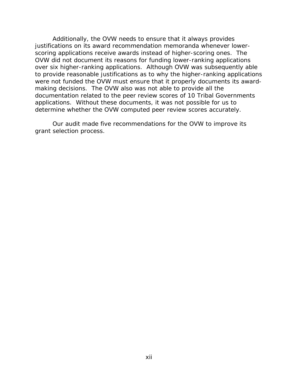Additionally, the OVW needs to ensure that it always provides justifications on its award recommendation memoranda whenever lowerscoring applications receive awards instead of higher-scoring ones. The OVW did not document its reasons for funding lower-ranking applications over six higher-ranking applications. Although OVW was subsequently able to provide reasonable justifications as to why the higher-ranking applications were not funded the OVW must ensure that it properly documents its awardmaking decisions. The OVW also was not able to provide all the documentation related to the peer review scores of 10 Tribal Governments applications. Without these documents, it was not possible for us to determine whether the OVW computed peer review scores accurately.

Our audit made five recommendations for the OVW to improve its grant selection process.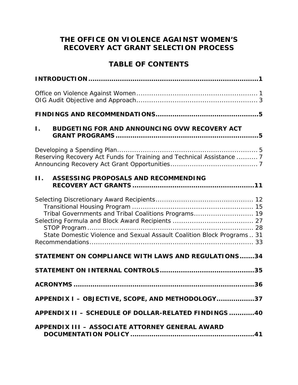# **THE OFFICE ON VIOLENCE AGAINST WOMEN'S RECOVERY ACT GRANT SELECTION PROCESS**

# **TABLE OF CONTENTS**

| BUDGETING FOR AND ANNOUNCING OVW RECOVERY ACT<br>$\mathbf{L}$                                                                  |
|--------------------------------------------------------------------------------------------------------------------------------|
| Reserving Recovery Act Funds for Training and Technical Assistance  7                                                          |
| $\Pi$ .<br>ASSESSING PROPOSALS AND RECOMMENDING                                                                                |
| Tribal Governments and Tribal Coalitions Programs 19<br>State Domestic Violence and Sexual Assault Coalition Block Programs 31 |
| STATEMENT ON COMPLIANCE WITH LAWS AND REGULATIONS34                                                                            |
|                                                                                                                                |
|                                                                                                                                |
| APPENDIX I - OBJECTIVE, SCOPE, AND METHODOLOGY37                                                                               |
| APPENDIX II - SCHEDULE OF DOLLAR-RELATED FINDINGS 40                                                                           |
| <b>APPENDIX III - ASSOCIATE ATTORNEY GENERAL AWARD</b>                                                                         |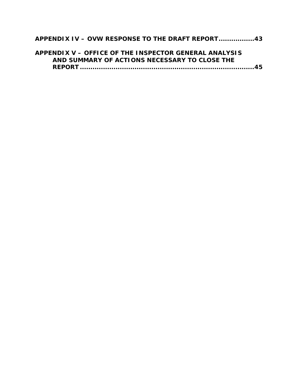### **APPENDIX IV – OVW RESPONSE TO THE DRAFT REPORT ................. 43**

| APPENDIX V – OFFICE OF THE INSPECTOR GENERAL ANALYSIS |  |
|-------------------------------------------------------|--|
| AND SUMMARY OF ACTIONS NECESSARY TO CLOSE THE         |  |
|                                                       |  |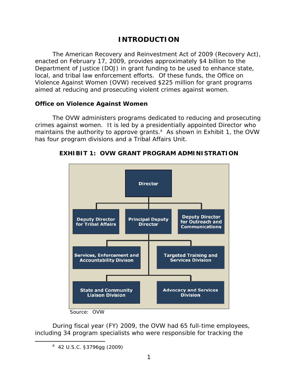# **INTRODUCTION**

<span id="page-16-0"></span>The American Recovery and Reinvestment Act of 2009 (Recovery Act), enacted on February 17, 2009, provides approximately \$4 billion to the Department of Justice (DOJ) in grant funding to be used to enhance state, local, and tribal law enforcement efforts. Of these funds, the Office on Violence Against Women (OVW) received \$225 million for grant programs aimed at reducing and prosecuting violent crimes against women.

#### **Office on Violence Against Women**

The OVW administers programs dedicated to reducing and prosecuting crimes against women. It is led by a presidentially appointed Director who maintains the authority to approve grants.<sup>6</sup> As shown in Exhibit 1, the OVW has four program divisions and a Tribal Affairs Unit.



**EXHIBIT 1: OVW GRANT PROGRAM ADMINISTRATION** 

During fiscal year (FY) 2009, the OVW had 65 full-time employees, including 34 program specialists who were responsible for tracking the

Source: OVW

<sup>6</sup> 42 U.S.C. §3796gg (2009)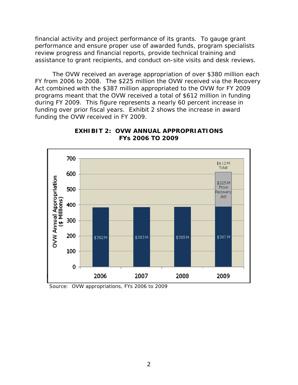financial activity and project performance of its grants. To gauge grant performance and ensure proper use of awarded funds, program specialists review progress and financial reports, provide technical training and assistance to grant recipients, and conduct on-site visits and desk reviews.

The OVW received an average appropriation of over \$380 million each FY from 2006 to 2008. The \$225 million the OVW received via the Recovery Act combined with the \$387 million appropriated to the OVW for FY 2009 programs meant that the OVW received a total of \$612 million in funding during FY 2009. This figure represents a nearly 60 percent increase in funding over prior fiscal years. Exhibit 2 shows the increase in award funding the OVW received in FY 2009.



**EXHIBIT 2: OVW ANNUAL APPROPRIATIONS FYs 2006 TO 2009** 

Source: OVW appropriations, FYs 2006 to 2009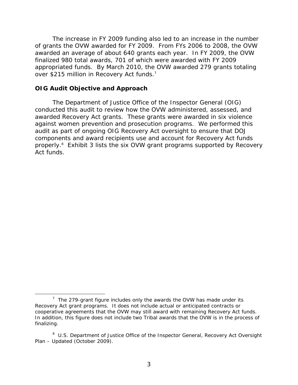<span id="page-18-0"></span>The increase in FY 2009 funding also led to an increase in the number of grants the OVW awarded for FY 2009. From FYs 2006 to 2008, the OVW awarded an average of about 640 grants each year. In FY 2009, the OVW finalized 980 total awards, 701 of which were awarded with FY 2009 appropriated funds. By March 2010, the OVW awarded 279 grants totaling over \$215 million in Recovery Act funds.<sup>7</sup>

#### **OIG Audit Objective and Approach**

 $\overline{a}$ 

The Department of Justice Office of the Inspector General (OIG) conducted this audit to review how the OVW administered, assessed, and awarded Recovery Act grants. These grants were awarded in six violence against women prevention and prosecution programs. We performed this audit as part of ongoing OIG Recovery Act oversight to ensure that DOJ components and award recipients use and account for Recovery Act funds properly.<sup>8</sup> Exhibit 3 lists the six OVW grant programs supported by Recovery Act funds.

<sup>.</sup>finalizing<br>ا <sup>7</sup> The 279-grant figure includes only the awards the OVW has made under its Recovery Act grant programs. It does not include actual or anticipated contracts or cooperative agreements that the OVW may still award with remaining Recovery Act funds. In addition, this figure does not include two Tribal awards that the OVW is in the process of

U.S. Department of Justice Office of the Inspector General, *Recovery Act Oversight Plan – Updated* (October 2009).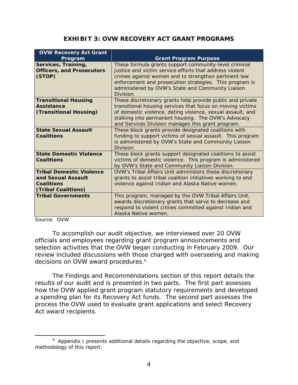#### **EXHIBIT 3: OVW RECOVERY ACT GRANT PROGRAMS**

| <b>OVW Recovery Act Grant</b><br>Program                                                          | <b>Grant Program Purpose</b>                                                                                                                                                                                                                                                                          |
|---------------------------------------------------------------------------------------------------|-------------------------------------------------------------------------------------------------------------------------------------------------------------------------------------------------------------------------------------------------------------------------------------------------------|
| Services, Training,<br><b>Officers, and Prosecutors</b><br>(STOP)                                 | These formula grants support community-level criminal<br>justice and victim service efforts that address violent<br>crimes against women and to strengthen pertinent law<br>enforcement and prosecution strategies. This program is<br>administered by OVW's State and Community Liaison<br>Division. |
| <b>Transitional Housing</b><br><b>Assistance</b><br>(Transitional Housing)                        | These discretionary grants help provide public and private<br>transitional housing services that focus on moving victims<br>of domestic violence, dating violence, sexual assault, and<br>stalking into permanent housing. The OVW's Advocacy<br>and Services Division manages this grant program.    |
| <b>State Sexual Assault</b><br>Coalitions                                                         | These block grants provide designated coalitions with<br>funding to support victims of sexual assault. This program<br>is administered by OVW's State and Community Liaison<br>Division.                                                                                                              |
| <b>State Domestic Violence</b><br><b>Coalitions</b>                                               | These block grants support designated coalitions to assist<br>victims of domestic violence. This program is administered<br>by OVW's State and Community Liaison Division.                                                                                                                            |
| <b>Tribal Domestic Violence</b><br>and Sexual Assault<br><b>Coalitions</b><br>(Tribal Coalitions) | OVW's Tribal Affairs Unit administers these discretionary<br>grants to assist tribal coalition initiatives working to end<br>violence against Indian and Alaska Native women.                                                                                                                         |
| <b>Tribal Governments</b>                                                                         | This program, managed by the OVW Tribal Affairs Unit,<br>awards discretionary grants that serve to decrease and<br>respond to violent crimes committed against Indian and<br>Alaska Native women.                                                                                                     |

Source: OVW

 $\overline{a}$ 

To accomplish our audit objective, we interviewed over 20 OVW officials and employees regarding grant program announcements and selection activities that the OVW began conducting in February 2009. Our review included discussions with those charged with overseeing and making decisions on OVW award procedures.<sup>9</sup>

The Findings and Recommendations section of this report details the results of our audit and is presented in two parts. The first part assesses how the OVW applied grant program statutory requirements and developed a spending plan for its Recovery Act funds. The second part assesses the process the OVW used to evaluate grant applications and select Recovery Act award recipients.

<sup>&</sup>lt;sup>9</sup> Appendix I presents additional details regarding the objective, scope, and methodology of this report.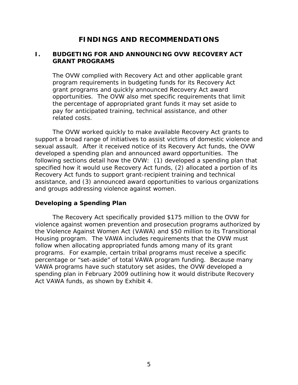### **FINDINGS AND RECOMMENDATIONS**

#### <span id="page-20-0"></span>**I. BUDGETING FOR AND ANNOUNCING OVW RECOVERY ACT GRANT PROGRAMS**

The OVW complied with Recovery Act and other applicable grant program requirements in budgeting funds for its Recovery Act grant programs and quickly announced Recovery Act award opportunities. The OVW also met specific requirements that limit the percentage of appropriated grant funds it may set aside to pay for anticipated training, technical assistance, and other related costs.

The OVW worked quickly to make available Recovery Act grants to support a broad range of initiatives to assist victims of domestic violence and sexual assault. After it received notice of its Recovery Act funds, the OVW developed a spending plan and announced award opportunities. The following sections detail how the OVW: (1) developed a spending plan that specified how it would use Recovery Act funds, (2) allocated a portion of its Recovery Act funds to support grant-recipient training and technical assistance, and (3) announced award opportunities to various organizations and groups addressing violence against women.

#### **Developing a Spending Plan**

The Recovery Act specifically provided \$175 million to the OVW for violence against women prevention and prosecution programs authorized by the Violence Against Women Act (VAWA) and \$50 million to its Transitional Housing program. The VAWA includes requirements that the OVW must follow when allocating appropriated funds among many of its grant programs. For example, certain tribal programs must receive a specific percentage or "set-aside" of total VAWA program funding. Because many VAWA programs have such statutory set asides, the OVW developed a spending plan in February 2009 outlining how it would distribute Recovery Act VAWA funds, as shown by Exhibit 4.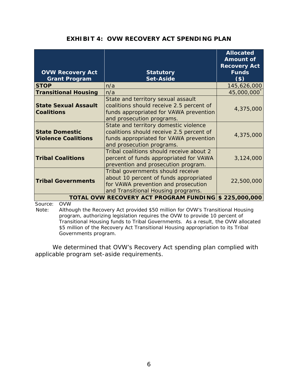### **EXHIBIT 4: OVW RECOVERY ACT SPENDING PLAN**

| <b>OVW Recovery Act</b><br><b>Grant Program</b>     | <b>Statutory</b><br><b>Set-Aside</b>                                                                                                                     | <b>Allocated</b><br><b>Amount of</b><br><b>Recovery Act</b><br><b>Funds</b><br>$($ \$) |
|-----------------------------------------------------|----------------------------------------------------------------------------------------------------------------------------------------------------------|----------------------------------------------------------------------------------------|
| <b>STOP</b>                                         | n/a                                                                                                                                                      | 145,626,000                                                                            |
| <b>Transitional Housing</b>                         | n/a                                                                                                                                                      | 45,000,000                                                                             |
| <b>State Sexual Assault</b><br><b>Coalitions</b>    | State and territory sexual assault<br>coalitions should receive 2.5 percent of<br>funds appropriated for VAWA prevention<br>and prosecution programs.    | 4,375,000                                                                              |
| <b>State Domestic</b><br><b>Violence Coalitions</b> | State and territory domestic violence<br>coalitions should receive 2.5 percent of<br>funds appropriated for VAWA prevention<br>and prosecution programs. | 4,375,000                                                                              |
| <b>Tribal Coalitions</b>                            | Tribal coalitions should receive about 2<br>percent of funds appropriated for VAWA<br>prevention and prosecution program.                                | 3,124,000                                                                              |
| <b>Tribal Governments</b>                           | Tribal governments should receive<br>about 10 percent of funds appropriated<br>for VAWA prevention and prosecution<br>and Transitional Housing programs. | 22,500,000                                                                             |
|                                                     | TOTAL OVW RECOVERY ACT PROGRAM FUNDING \$ 225,000,000                                                                                                    |                                                                                        |

Source: OVW

Note: Although the Recovery Act provided \$50 million for OVW's Transitional Housing program, authorizing legislation requires the OVW to provide 10 percent of Transitional Housing funds to Tribal Governments. As a result, the OVW allocated \$5 million of the Recovery Act Transitional Housing appropriation to its Tribal Governments program.

We determined that OVW's Recovery Act spending plan complied with applicable program set-aside requirements.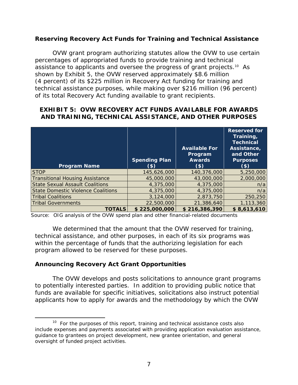#### **Reserving Recovery Act Funds for Training and Technical Assistance**

OVW grant program authorizing statutes allow the OVW to use certain percentages of appropriated funds to provide training and technical assistance to applicants and oversee the progress of grant projects.<sup>10</sup> As shown by Exhibit 5, the OVW reserved approximately \$8.6 million (4 percent) of its \$225 million in Recovery Act funding for training and technical assistance purposes, while making over \$216 million (96 percent) of its total Recovery Act funding available to grant recipients.

#### **EXHIBIT 5: OVW RECOVERY ACT FUNDS AVAILABLE FOR AWARDS AND TRAINING, TECHNICAL ASSISTANCE, AND OTHER PURPOSES**

| <b>Program Name</b>                    | <b>Spending Plan</b><br>(\$) | <b>Available For</b><br>Program<br><b>Awards</b><br>(3) | <b>Reserved for</b><br>Training,<br><b>Technical</b><br>Assistance,<br>and Other<br><b>Purposes</b><br>(\$) |
|----------------------------------------|------------------------------|---------------------------------------------------------|-------------------------------------------------------------------------------------------------------------|
| <b>STOP</b>                            | 145,626,000                  | 140,376,000                                             | 5,250,000                                                                                                   |
| <b>Transitional Housing Assistance</b> | 45,000,000                   | 43,000,000                                              | 2,000,000                                                                                                   |
| <b>State Sexual Assault Coalitions</b> | 4,375,000                    | 4,375,000                                               | n/a                                                                                                         |
| State Domestic Violence Coalitions     | 4,375,000                    | 4,375,000                                               | n/a                                                                                                         |
| <b>Tribal Coalitions</b>               | 3,124,000                    | 2,873,750                                               | 250,250                                                                                                     |
| <b>Tribal Governments</b>              | 22,500,000                   | 21,386,640                                              | 1,113,360                                                                                                   |
| <b>TOTALS</b>                          | \$225,000,000                | \$216,386,390                                           | \$8,613,610                                                                                                 |

Source: OIG analysis of the OVW spend plan and other financial-related documents

We determined that the amount that the OVW reserved for training, technical assistance, and other purposes, in each of its six programs was within the percentage of funds that the authorizing legislation for each program allowed to be reserved for these purposes.

#### **Announcing Recovery Act Grant Opportunities**

 $\overline{a}$ 

The OVW develops and posts solicitations to announce grant programs to potentially interested parties. In addition to providing public notice that funds are available for specific initiatives, solicitations also instruct potential applicants how to apply for awards and the methodology by which the OVW

 $10$  For the purposes of this report, training and technical assistance costs also include expenses and payments associated with providing application evaluation assistance, guidance to grantees on project development, new grantee orientation, and general oversight of funded project activities.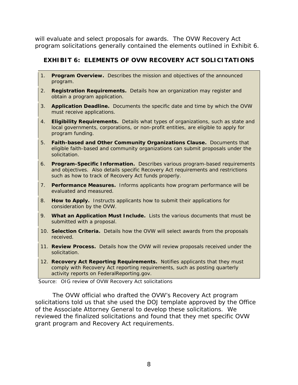will evaluate and select proposals for awards. The OVW Recovery Act program solicitations generally contained the elements outlined in Exhibit 6.

### **EXHIBIT 6: ELEMENTS OF OVW RECOVERY ACT SOLICITATIONS**

- 1. **Program Overview.** Describes the mission and objectives of the announced program.
- 2. **Registration Requirements.** Details how an organization may register and obtain a program application.
- 3. **Application Deadline.** Documents the specific date and time by which the OVW must receive applications.
- 4. **Eligibility Requirements.** Details what types of organizations, such as state and local governments, corporations, or non-profit entities, are eligible to apply for program funding.
- 5. **Faith-based and Other Community Organizations Clause.** Documents that eligible faith-based and community organizations can submit proposals under the solicitation.
- 6. **Program-Specific Information.** Describes various program-based requirements and objectives. Also details specific Recovery Act requirements and restrictions such as how to track of Recovery Act funds properly.
- 7. **Performance Measures.** Informs applicants how program performance will be evaluated and measured.
- 8. **How to Apply.** Instructs applicants how to submit their applications for consideration by the OVW.
- 9. **What an Application Must Include.** Lists the various documents that must be submitted with a proposal.
- 10. **Selection Criteria.** Details how the OVW will select awards from the proposals received.
- 11. **Review Process.** Details how the OVW will review proposals received under the solicitation.
- 12. **Recovery Act Reporting Requirements.** Notifies applicants that they must comply with Recovery Act reporting requirements, such as posting quarterly activity reports on FederalReporting.gov.

Source: OIG review of OVW Recovery Act solicitations

The OVW official who drafted the OVW's Recovery Act program solicitations told us that she used the DOJ template approved by the Office of the Associate Attorney General to develop these solicitations. We reviewed the finalized solicitations and found that they met specific OVW grant program and Recovery Act requirements.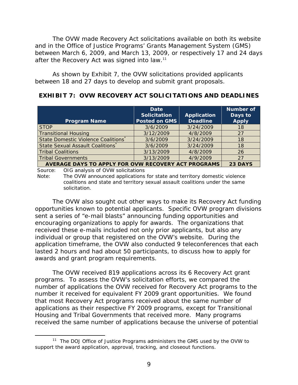after the Recovery Act was signed into law.<sup>11</sup> The OVW made Recovery Act solicitations available on both its website and in the Office of Justice Programs' Grants Management System (GMS) between March 6, 2009, and March 13, 2009, or respectively 17 and 24 days

As shown by Exhibit 7, the OVW solicitations provided applicants between 18 and 27 days to develop and submit grant proposals.

### **EXHIBIT 7: OVW RECOVERY ACT SOLICITATIONS AND DEADLINES**

| <b>Program Name</b>                                                   | Date<br><b>Solicitation</b><br><b>Posted on GMS</b> | Application<br><b>Deadline</b> | <b>Number of</b><br>Days to<br><b>Apply</b> |
|-----------------------------------------------------------------------|-----------------------------------------------------|--------------------------------|---------------------------------------------|
| <b>STOP</b>                                                           | 3/6/2009                                            | 3/24/2009                      | 18                                          |
| <b>Transitional Housing</b>                                           | 3/12/2009                                           | 4/8/2009                       | 27                                          |
| State Domestic Violence Coalitions                                    | 3/6/2009                                            | 3/24/2009                      | 18                                          |
| State Sexual Assault Coalitions                                       | 3/6/2009                                            | 3/24/2009                      | 18                                          |
| <b>Tribal Coalitions</b>                                              | 3/13/2009                                           | 4/8/2009                       | 26                                          |
| <b>Tribal Governments</b>                                             | 3/13/2009                                           | 4/9/2009                       | 27                                          |
| <b>AVERAGE DAYS TO APPLY FOR OVW RECOVERY ACT PROGRAMS</b><br>23 DAYS |                                                     |                                |                                             |

Source: OIG analysis of OVW solicitations

Note: The OVW announced applications for state and territory domestic violence coalitions and state and territory sexual assault coalitions under the same solicitation.

The OVW also sought out other ways to make its Recovery Act funding opportunities known to potential applicants. Specific OVW program divisions sent a series of "e-mail blasts" announcing funding opportunities and encouraging organizations to apply for awards. The organizations that received these e-mails included not only prior applicants, but also any individual or group that registered on the OVW's website. During the application timeframe, the OVW also conducted 9 teleconferences that each lasted 2 hours and had about 50 participants, to discuss how to apply for awards and grant program requirements.

The OVW received 819 applications across its 6 Recovery Act grant programs. To assess the OVW's solicitation efforts, we compared the number of applications the OVW received for Recovery Act programs to the number it received for equivalent FY 2009 grant opportunities. We found that most Recovery Act programs received about the same number of applications as their respective FY 2009 programs, except for Transitional Housing and Tribal Governments that received more. Many programs received the same number of applications because the universe of potential

 $\overline{a}$ <sup>11</sup> The DOJ Office of Justice Programs administers the GMS used by the OVW to support the award application, approval, tracking, and closeout functions.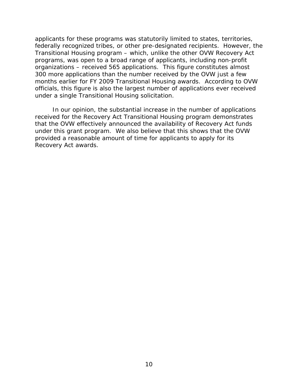applicants for these programs was statutorily limited to states, territories, federally recognized tribes, or other pre-designated recipients. However, the Transitional Housing program – which, unlike the other OVW Recovery Act programs, was open to a broad range of applicants, including non-profit organizations – received 565 applications. This figure constitutes almost 300 more applications than the number received by the OVW just a few months earlier for FY 2009 Transitional Housing awards. According to OVW officials, this figure is also the largest number of applications ever received under a single Transitional Housing solicitation.

In our opinion, the substantial increase in the number of applications received for the Recovery Act Transitional Housing program demonstrates that the OVW effectively announced the availability of Recovery Act funds under this grant program. We also believe that this shows that the OVW provided a reasonable amount of time for applicants to apply for its Recovery Act awards.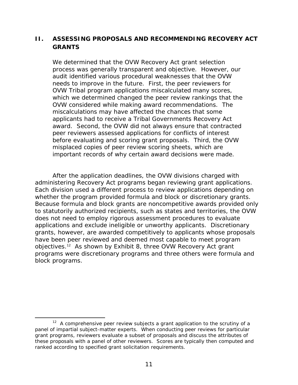### <span id="page-26-0"></span>**II. ASSESSING PROPOSALS AND RECOMMENDING RECOVERY ACT GRANTS**

We determined that the OVW Recovery Act grant selection process was generally transparent and objective. However, our audit identified various procedural weaknesses that the OVW needs to improve in the future. First, the peer reviewers for OVW Tribal program applications miscalculated many scores, which we determined changed the peer review rankings that the OVW considered while making award recommendations. The miscalculations may have affected the chances that some applicants had to receive a Tribal Governments Recovery Act award. Second, the OVW did not always ensure that contracted peer reviewers assessed applications for conflicts of interest before evaluating and scoring grant proposals. Third, the OVW misplaced copies of peer review scoring sheets, which are important records of why certain award decisions were made.

After the application deadlines, the OVW divisions charged with administering Recovery Act programs began reviewing grant applications. Each division used a different process to review applications depending on whether the program provided formula and block or discretionary grants. Because formula and block grants are noncompetitive awards provided only to statutorily authorized recipients, such as states and territories, the OVW does not need to employ rigorous assessment procedures to evaluate applications and exclude ineligible or unworthy applicants. Discretionary grants, however, are awarded competitively to applicants whose proposals have been peer reviewed and deemed most capable to meet program objectives.12 As shown by Exhibit 8, three OVW Recovery Act grant programs were discretionary programs and three others were formula and block programs.

 $12$  A comprehensive peer review subjects a grant application to the scrutiny of a panel of impartial subject-matter experts. When conducting peer reviews for particular grant programs, reviewers evaluate a subset of proposals and discuss the attributes of these proposals with a panel of other reviewers. Scores are typically then computed and ranked according to specified grant solicitation requirements.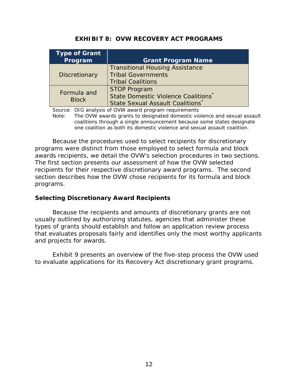| <b>Type of Grant</b><br>Program | <b>Grant Program Name</b>                                                                       |
|---------------------------------|-------------------------------------------------------------------------------------------------|
| <b>Discretionary</b>            | <b>Transitional Housing Assistance</b><br><b>Tribal Governments</b><br><b>Tribal Coalitions</b> |
| Formula and<br><b>Block</b>     | <b>STOP Program</b><br>State Domestic Violence Coalitions<br>State Sexual Assault Coalitions*   |

### **EXHIBIT 8: OVW RECOVERY ACT PROGRAMS**

Source: OIG analysis of OVW award program requirements

Note: The OVW awards grants to designated domestic violence and sexual assault coalitions through a single announcement because some states designate one coalition as both its domestic violence and sexual assault coalition.

Because the procedures used to select recipients for discretionary programs were distinct from those employed to select formula and block awards recipients, we detail the OVW's selection procedures in two sections. The first section presents our assessment of how the OVW selected recipients for their respective discretionary award programs. The second section describes how the OVW chose recipients for its formula and block programs.

#### **Selecting Discretionary Award Recipients**

Because the recipients and amounts of discretionary grants are not usually outlined by authorizing statutes, agencies that administer these types of grants should establish and follow an application review process that evaluates proposals fairly and identifies only the most worthy applicants and projects for awards.

Exhibit 9 presents an overview of the five-step process the OVW used to evaluate applications for its Recovery Act discretionary grant programs.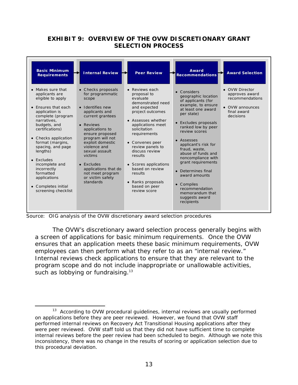#### **EXHIBIT 9: OVERVIEW OF THE OVW DISCRETIONARY GRANT SELECTION PROCESS**

| <b>Basic Minimum</b><br><b>Requirements</b>                                                                                                                                                                                                                                                                                                                                            | <b>Internal Review</b>                                                                                                                                                                                                                                                                                                                               | <b>Peer Review</b>                                                                                                                                                                                                                                                                                                                                             | Award<br><b>Recommendations</b>                                                                                                                                                                                                                                                                                                                                                                                                              | <b>Award Selection</b>                                                                             |
|----------------------------------------------------------------------------------------------------------------------------------------------------------------------------------------------------------------------------------------------------------------------------------------------------------------------------------------------------------------------------------------|------------------------------------------------------------------------------------------------------------------------------------------------------------------------------------------------------------------------------------------------------------------------------------------------------------------------------------------------------|----------------------------------------------------------------------------------------------------------------------------------------------------------------------------------------------------------------------------------------------------------------------------------------------------------------------------------------------------------------|----------------------------------------------------------------------------------------------------------------------------------------------------------------------------------------------------------------------------------------------------------------------------------------------------------------------------------------------------------------------------------------------------------------------------------------------|----------------------------------------------------------------------------------------------------|
| • Makes sure that<br>applicants are<br>eligible to apply<br>Ensures that each<br>$\bullet$<br>application is<br>complete (program<br>narratives.<br>budgets, and<br>certifications)<br>Checks application<br>format (margins,<br>spacing, and page<br>lengths)<br>Excludes<br>incomplete and<br>incorrectly<br>formatted<br>applications<br>• Completes initial<br>screening checklist | • Checks proposals<br>for programmatic<br>scope<br>• Identifies new<br>applicants and<br>current grantees<br>• Reviews<br>applications to<br>ensure proposed<br>program will not<br>exploit domestic<br>violence and<br>sexual assault<br>victims<br>$\bullet$ Excludes<br>applications that do<br>not meet program<br>or victim safety<br>standards | • Reviews each<br>proposal to<br>evaluate<br>demonstrated need<br>and expected<br>project outcomes<br>• Assesses whether<br>applications meet<br>solicitation<br>requirements<br>• Convenes peer<br>review panels to<br>discuss review<br>results<br>• Scores applications<br>based on review<br>results<br>• Ranks proposals<br>based on peer<br>review score | $\bullet$ Considers<br>geographic location<br>of applicants (for<br>example, to ensure<br>at least one award<br>per state)<br>• Excludes proposals<br>ranked low by peer<br>review scores<br>• Assesses<br>applicant's risk for<br>fraud, waste,<br>abuse of funds and<br>noncompliance with<br>grant requirements<br>• Determines final<br>award amounts<br>• Compiles<br>recommendation<br>memorandum that<br>suggests award<br>recipients | • OVW Director<br>approves award<br>recommendations<br>• OVW announces<br>final award<br>decisions |

Source: OIG analysis of the OVW discretionary award selection procedures

 $\overline{a}$ 

such as lobbying or fundraising. $13$ The OVW's discretionary award selection process generally begins with a screen of applications for basic minimum requirements. Once the OVW ensures that an application meets these basic minimum requirements, OVW employees can then perform what they refer to as an "internal review." Internal reviews check applications to ensure that they are relevant to the program scope and do not include inappropriate or unallowable activities,

 internal reviews before the peer review had been scheduled to begin. Although we note this <sup>13</sup> According to OVW procedural guidelines, internal reviews are usually performed on applications before they are peer reviewed. However, we found that OVW staff performed internal reviews on Recovery Act Transitional Housing applications after they were peer reviewed. OVW staff told us that they did not have sufficient time to complete inconsistency, there was no change in the results of scoring or application selection due to this procedural deviation.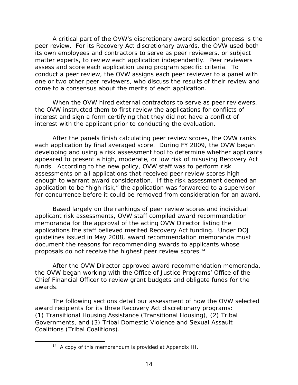A critical part of the OVW's discretionary award selection process is the peer review. For its Recovery Act discretionary awards, the OVW used both its own employees and contractors to serve as peer reviewers, or subject matter experts, to review each application independently. Peer reviewers assess and score each application using program specific criteria. To conduct a peer review, the OVW assigns each peer reviewer to a panel with one or two other peer reviewers, who discuss the results of their review and come to a consensus about the merits of each application.

When the OVW hired external contractors to serve as peer reviewers, the OVW instructed them to first review the applications for conflicts of interest and sign a form certifying that they did not have a conflict of interest with the applicant prior to conducting the evaluation.

After the panels finish calculating peer review scores, the OVW ranks each application by final averaged score. During FY 2009, the OVW began developing and using a risk assessment tool to determine whether applicants appeared to present a high, moderate, or low risk of misusing Recovery Act funds. According to the new policy, OVW staff was to perform risk assessments on all applications that received peer review scores high enough to warrant award consideration. If the risk assessment deemed an application to be "high risk," the application was forwarded to a supervisor for concurrence before it could be removed from consideration for an award.

proposals do not receive the highest peer review scores.<sup>14</sup> Based largely on the rankings of peer review scores and individual applicant risk assessments, OVW staff compiled award recommendation memoranda for the approval of the acting OVW Director listing the applications the staff believed merited Recovery Act funding. Under DOJ guidelines issued in May 2008, award recommendation memoranda must document the reasons for recommending awards to applicants whose

After the OVW Director approved award recommendation memoranda, the OVW began working with the Office of Justice Programs' Office of the Chief Financial Officer to review grant budgets and obligate funds for the awards.

The following sections detail our assessment of how the OVW selected award recipients for its three Recovery Act discretionary programs: (1) Transitional Housing Assistance (Transitional Housing), (2) Tribal Governments, and (3) Tribal Domestic Violence and Sexual Assault Coalitions (Tribal Coalitions).

<sup>&</sup>lt;sup>14</sup> A copy of this memorandum is provided at Appendix III.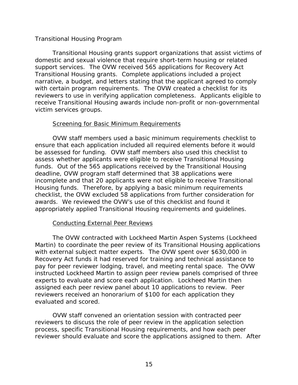#### <span id="page-30-0"></span>*Transitional Housing Program*

Transitional Housing grants support organizations that assist victims of domestic and sexual violence that require short-term housing or related support services. The OVW received 565 applications for Recovery Act Transitional Housing grants. Complete applications included a project narrative, a budget, and letters stating that the applicant agreed to comply with certain program requirements. The OVW created a checklist for its reviewers to use in verifying application completeness. Applicants eligible to receive Transitional Housing awards include non-profit or non-governmental victim services groups.

#### **Screening for Basic Minimum Requirements**

OVW staff members used a basic minimum requirements checklist to ensure that each application included all required elements before it would be assessed for funding. OVW staff members also used this checklist to assess whether applicants were eligible to receive Transitional Housing funds. Out of the 565 applications received by the Transitional Housing deadline, OVW program staff determined that 38 applications were incomplete and that 20 applicants were not eligible to receive Transitional Housing funds. Therefore, by applying a basic minimum requirements checklist, the OVW excluded 58 applications from further consideration for awards. We reviewed the OVW's use of this checklist and found it appropriately applied Transitional Housing requirements and guidelines.

#### **Conducting External Peer Reviews**

The OVW contracted with Lockheed Martin Aspen Systems (Lockheed Martin) to coordinate the peer review of its Transitional Housing applications with external subject matter experts. The OVW spent over \$630,000 in Recovery Act funds it had reserved for training and technical assistance to pay for peer reviewer lodging, travel, and meeting rental space. The OVW instructed Lockheed Martin to assign peer review panels comprised of three experts to evaluate and score each application. Lockheed Martin then assigned each peer review panel about 10 applications to review. Peer reviewers received an honorarium of \$100 for each application they evaluated and scored.

OVW staff convened an orientation session with contracted peer reviewers to discuss the role of peer review in the application selection process, specific Transitional Housing requirements, and how each peer reviewer should evaluate and score the applications assigned to them. After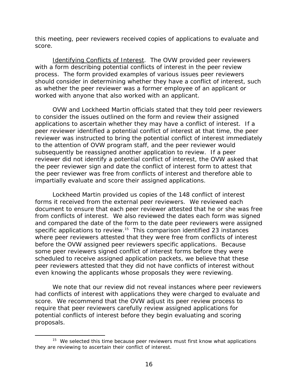this meeting, peer reviewers received copies of applications to evaluate and score.

*Identifying Conflicts of Interest.* The OVW provided peer reviewers with a form describing potential conflicts of interest in the peer review process. The form provided examples of various issues peer reviewers should consider in determining whether they have a conflict of interest, such as whether the peer reviewer was a former employee of an applicant or worked with anyone that also worked with an applicant.

OVW and Lockheed Martin officials stated that they told peer reviewers to consider the issues outlined on the form and review their assigned applications to ascertain whether they may have a conflict of interest. If a peer reviewer identified a potential conflict of interest at that time, the peer reviewer was instructed to bring the potential conflict of interest immediately to the attention of OVW program staff, and the peer reviewer would subsequently be reassigned another application to review. If a peer reviewer did not identify a potential conflict of interest, the OVW asked that the peer reviewer sign and date the conflict of interest form to attest that the peer reviewer was free from conflicts of interest and therefore able to impartially evaluate and score their assigned applications.

Lockheed Martin provided us copies of the 148 conflict of interest forms it received from the external peer reviewers. We reviewed each document to ensure that each peer reviewer attested that he or she was free from conflicts of interest. We also reviewed the dates each form was signed and compared the date of the form to the date peer reviewers were assigned specific applications to review.<sup>15</sup> This comparison identified 23 instances where peer reviewers attested that they were free from conflicts of interest before the OVW assigned peer reviewers specific applications. Because some peer reviewers signed conflict of interest forms before they were scheduled to receive assigned application packets, we believe that these peer reviewers attested that they did not have conflicts of interest without even knowing the applicants whose proposals they were reviewing.

We note that our review did not reveal instances where peer reviewers had conflicts of interest with applications they were charged to evaluate and score. We recommend that the OVW adjust its peer review process to require that peer reviewers carefully review assigned applications for potential conflicts of interest before they begin evaluating and scoring proposals.

 $15$  We selected this time because peer reviewers must first know what applications they are reviewing to ascertain their conflict of interest.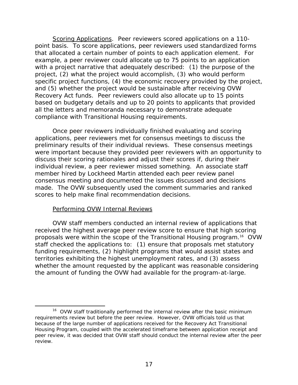*Scoring Applications*. Peer reviewers scored applications on a 110 point basis. To score applications, peer reviewers used standardized forms that allocated a certain number of points to each application element. For example, a peer reviewer could allocate up to 75 points to an application with a project narrative that adequately described: (1) the purpose of the project, (2) what the project would accomplish, (3) who would perform specific project functions, (4) the economic recovery provided by the project, and (5) whether the project would be sustainable after receiving OVW Recovery Act funds. Peer reviewers could also allocate up to 15 points based on budgetary details and up to 20 points to applicants that provided all the letters and memoranda necessary to demonstrate adequate compliance with Transitional Housing requirements.

Once peer reviewers individually finished evaluating and scoring applications, peer reviewers met for consensus meetings to discuss the preliminary results of their individual reviews. These consensus meetings were important because they provided peer reviewers with an opportunity to discuss their scoring rationales and adjust their scores if, during their individual review, a peer reviewer missed something. An associate staff member hired by Lockheed Martin attended each peer review panel consensus meeting and documented the issues discussed and decisions made. The OVW subsequently used the comment summaries and ranked scores to help make final recommendation decisions.

#### Performing OVW Internal Reviews

 $\overline{a}$ 

OVW staff members conducted an internal review of applications that received the highest average peer review score to ensure that high scoring proposals were within the scope of the Transitional Housing program.16 OVW staff checked the applications to: (1) ensure that proposals met statutory funding requirements, (2) highlight programs that would assist states and territories exhibiting the highest unemployment rates, and (3) assess whether the amount requested by the applicant was reasonable considering the amount of funding the OVW had available for the program-at-large.

<sup>&</sup>lt;sup>16</sup> OVW staff traditionally performed the internal review after the basic minimum requirements review but before the peer review. However, OVW officials told us that because of the large number of applications received for the Recovery Act Transitional Housing Program, coupled with the accelerated timeframe between application receipt and peer review, it was decided that OVW staff should conduct the internal review after the peer review.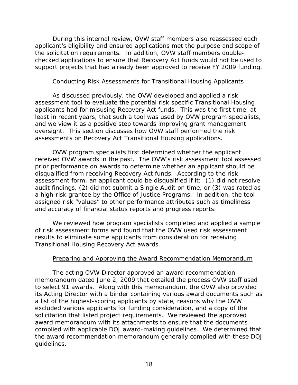During this internal review, OVW staff members also reassessed each applicant's eligibility and ensured applications met the purpose and scope of the solicitation requirements. In addition, OVW staff members doublechecked applications to ensure that Recovery Act funds would not be used to support projects that had already been approved to receive FY 2009 funding.

#### Conducting Risk Assessments for Transitional Housing Applicants

As discussed previously, the OVW developed and applied a risk assessment tool to evaluate the potential risk specific Transitional Housing applicants had for misusing Recovery Act funds. This was the first time, at least in recent years, that such a tool was used by OVW program specialists, and we view it as a positive step towards improving grant management oversight. This section discusses how OVW staff performed the risk assessments on Recovery Act Transitional Housing applications.

OVW program specialists first determined whether the applicant received OVW awards in the past. The OVW's risk assessment tool assessed prior performance on awards to determine whether an applicant should be disqualified from receiving Recovery Act funds. According to the risk assessment form, an applicant could be disqualified if it: (1) did not resolve audit findings, (2) did not submit a Single Audit on time, or (3) was rated as a high-risk grantee by the Office of Justice Programs. In addition, the tool assigned risk "values" to other performance attributes such as timeliness and accuracy of financial status reports and progress reports.

We reviewed how program specialists completed and applied a sample of risk assessment forms and found that the OVW used risk assessment results to eliminate some applicants from consideration for receiving Transitional Housing Recovery Act awards.

#### Preparing and Approving the Award Recommendation Memorandum

The acting OVW Director approved an award recommendation memorandum dated June 2, 2009 that detailed the process OVW staff used to select 91 awards. Along with this memorandum, the OVW also provided its Acting Director with a binder containing various award documents such as a list of the highest-scoring applicants by state, reasons why the OVW excluded various applicants for funding consideration, and a copy of the solicitation that listed project requirements. We reviewed the approved award memorandum with its attachments to ensure that the documents complied with applicable DOJ award-making guidelines. We determined that the award recommendation memorandum generally complied with these DOJ guidelines.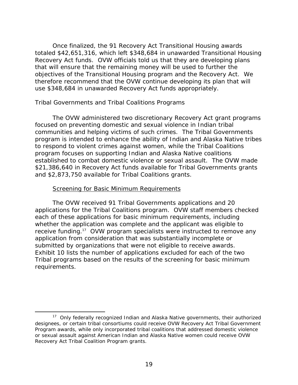<span id="page-34-0"></span>Once finalized, the 91 Recovery Act Transitional Housing awards totaled \$42,651,316, which left \$348,684 in unawarded Transitional Housing Recovery Act funds. OVW officials told us that they are developing plans that will ensure that the remaining money will be used to further the objectives of the Transitional Housing program and the Recovery Act. We therefore recommend that the OVW continue developing its plan that will use \$348,684 in unawarded Recovery Act funds appropriately.

#### *Tribal Governments and Tribal Coalitions Programs*

The OVW administered two discretionary Recovery Act grant programs focused on preventing domestic and sexual violence in Indian tribal communities and helping victims of such crimes. The Tribal Governments program is intended to enhance the ability of Indian and Alaska Native tribes to respond to violent crimes against women, while the Tribal Coalitions program focuses on supporting Indian and Alaska Native coalitions established to combat domestic violence or sexual assault. The OVW made \$21,386,640 in Recovery Act funds available for Tribal Governments grants and \$2,873,750 available for Tribal Coalitions grants.

#### Screening for Basic Minimum Requirements

 $\overline{a}$ 

The OVW received 91 Tribal Governments applications and 20 applications for the Tribal Coalitions program. OVW staff members checked each of these applications for basic minimum requirements, including whether the application was complete and the applicant was eligible to receive funding.<sup>17</sup> OVW program specialists were instructed to remove any application from consideration that was substantially incomplete or submitted by organizations that were not eligible to receive awards. Exhibit 10 lists the number of applications excluded for each of the two Tribal programs based on the results of the screening for basic minimum requirements.

<sup>&</sup>lt;sup>17</sup> Only federally recognized Indian and Alaska Native governments, their authorized designees, or certain tribal consortiums could receive OVW Recovery Act Tribal Government Program awards, while only incorporated tribal coalitions that addressed domestic violence or sexual assault against American Indian and Alaska Native women could receive OVW Recovery Act Tribal Coalition Program grants.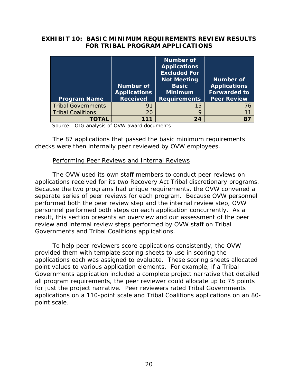#### **EXHIBIT 10: BASIC MINIMUM REQUIREMENTS REVIEW RESULTS FOR TRIBAL PROGRAM APPLICATIONS**

| <b>Program Name</b>       | <b>Number of</b><br><b>Applications</b><br><b>Received</b> | Number of<br><b>Applications</b><br><b>Excluded For</b><br><b>Not Meeting</b><br><b>Basic</b><br><b>Minimum</b><br><b>Requirements</b> | <b>Number of</b><br><b>Applications</b><br><b>Forwarded to</b><br><b>Peer Review</b> |
|---------------------------|------------------------------------------------------------|----------------------------------------------------------------------------------------------------------------------------------------|--------------------------------------------------------------------------------------|
| <b>Tribal Governments</b> | 91                                                         | 15                                                                                                                                     | 76                                                                                   |
| <b>Tribal Coalitions</b>  | 20                                                         | 9                                                                                                                                      | 11                                                                                   |
| TOTAL                     | 111                                                        | 24                                                                                                                                     | 87                                                                                   |

Source: OIG analysis of OVW award documents

The 87 applications that passed the basic minimum requirements checks were then internally peer reviewed by OVW employees.

#### Performing Peer Reviews and Internal Reviews

The OVW used its own staff members to conduct peer reviews on applications received for its two Recovery Act Tribal discretionary programs. Because the two programs had unique requirements, the OVW convened a separate series of peer reviews for each program. Because OVW personnel performed both the peer review step and the internal review step, OVW personnel performed both steps on each application concurrently. As a result, this section presents an overview and our assessment of the peer review and internal review steps performed by OVW staff on Tribal Governments and Tribal Coalitions applications.

To help peer reviewers score applications consistently, the OVW provided them with template scoring sheets to use in scoring the applications each was assigned to evaluate. These scoring sheets allocated point values to various application elements. For example, if a Tribal Governments application included a complete project narrative that detailed all program requirements, the peer reviewer could allocate up to 75 points for just the project narrative. Peer reviewers rated Tribal Governments applications on a 110-point scale and Tribal Coalitions applications on an 80 point scale.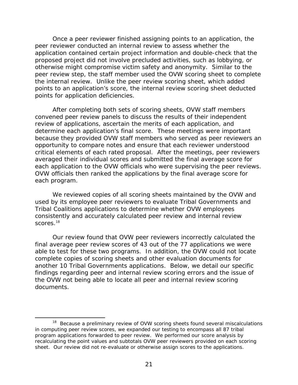Once a peer reviewer finished assigning points to an application, the peer reviewer conducted an internal review to assess whether the application contained certain project information and double-check that the proposed project did not involve precluded activities, such as lobbying, or otherwise might compromise victim safety and anonymity. Similar to the peer review step, the staff member used the OVW scoring sheet to complete the internal review. Unlike the peer review scoring sheet, which added points to an application's score, the internal review scoring sheet deducted points for application deficiencies.

After completing both sets of scoring sheets, OVW staff members convened peer review panels to discuss the results of their independent review of applications, ascertain the merits of each application, and determine each application's final score. These meetings were important because they provided OVW staff members who served as peer reviewers an opportunity to compare notes and ensure that each reviewer understood critical elements of each rated proposal. After the meetings, peer reviewers averaged their individual scores and submitted the final average score for each application to the OVW officials who were supervising the peer reviews. OVW officials then ranked the applications by the final average score for each program.

scores. $^\mathrm{18}$ We reviewed copies of all scoring sheets maintained by the OVW and used by its employee peer reviewers to evaluate Tribal Governments and Tribal Coalitions applications to determine whether OVW employees consistently and accurately calculated peer review and internal review

Our review found that OVW peer reviewers incorrectly calculated the final average peer review scores of 43 out of the 77 applications we were able to test for these two programs. In addition, the OVW could not locate complete copies of scoring sheets and other evaluation documents for another 10 Tribal Governments applications. Below, we detail our specific findings regarding peer and internal review scoring errors and the issue of the OVW not being able to locate all peer and internal review scoring documents.

<sup>&</sup>lt;sup>18</sup> Because a preliminary review of OVW scoring sheets found several miscalculations in computing peer review scores, we expanded our testing to encompass all 87 tribal program applications forwarded to peer review. We performed our score analysis by recalculating the point values and subtotals OVW peer reviewers provided on each scoring sheet. Our review did not re-evaluate or otherwise assign scores to the applications.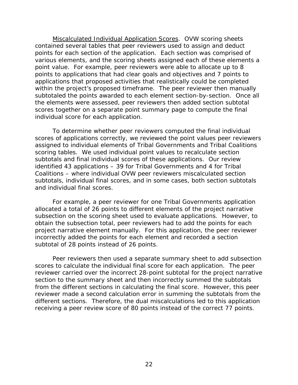*Miscalculated Individual Application Scores*. OVW scoring sheets contained several tables that peer reviewers used to assign and deduct points for each section of the application. Each section was comprised of various elements, and the scoring sheets assigned each of these elements a point value. For example, peer reviewers were able to allocate up to 8 points to applications that had clear goals and objectives and 7 points to applications that proposed activities that realistically could be completed within the project's proposed timeframe. The peer reviewer then manually subtotaled the points awarded to each element section-by-section. Once all the elements were assessed, peer reviewers then added section subtotal scores together on a separate point summary page to compute the final individual score for each application.

To determine whether peer reviewers computed the final individual scores of applications correctly, we reviewed the point values peer reviewers assigned to individual elements of Tribal Governments and Tribal Coalitions scoring tables. We used individual point values to recalculate section subtotals and final individual scores of these applications. Our review identified 43 applications – 39 for Tribal Governments and 4 for Tribal Coalitions – where individual OVW peer reviewers miscalculated section subtotals, individual final scores, and in some cases, both section subtotals and individual final scores.

For example, a peer reviewer for one Tribal Governments application allocated a total of 26 points to different elements of the project narrative subsection on the scoring sheet used to evaluate applications. However, to obtain the subsection total, peer reviewers had to add the points for each project narrative element manually. For this application, the peer reviewer incorrectly added the points for each element and recorded a section subtotal of 28 points instead of 26 points.

Peer reviewers then used a separate summary sheet to add subsection scores to calculate the individual final score for each application. The peer reviewer carried over the incorrect 28-point subtotal for the project narrative section to the summary sheet and then incorrectly summed the subtotals from the different sections in calculating the final score. However, this peer reviewer made a second calculation error in summing the subtotals from the different sections. Therefore, the dual miscalculations led to this application receiving a peer review score of 80 points instead of the correct 77 points.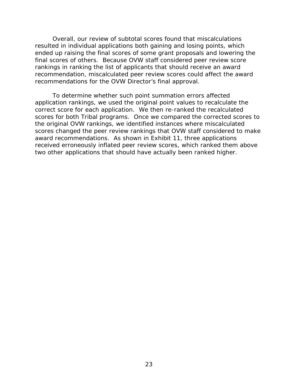Overall, our review of subtotal scores found that miscalculations resulted in individual applications both gaining and losing points, which ended up raising the final scores of some grant proposals and lowering the final scores of others. Because OVW staff considered peer review score rankings in ranking the list of applicants that should receive an award recommendation, miscalculated peer review scores could affect the award recommendations for the OVW Director's final approval.

To determine whether such point summation errors affected application rankings, we used the original point values to recalculate the correct score for each application. We then re-ranked the recalculated scores for both Tribal programs. Once we compared the corrected scores to the original OVW rankings, we identified instances where miscalculated scores changed the peer review rankings that OVW staff considered to make award recommendations. As shown in Exhibit 11, three applications received erroneously inflated peer review scores, which ranked them above two other applications that should have actually been ranked higher.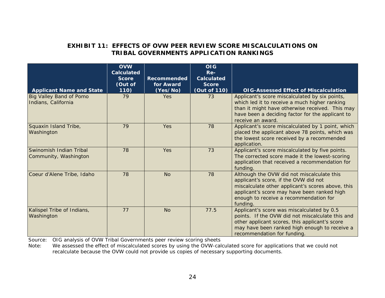#### **EXHIBIT 11: EFFECTS OF OVW PEER REVIEW SCORE MISCALCULATIONS ON TRIBAL GOVERNMENTS APPLICATION RANKINGS**

| <b>Applicant Name and State</b>                       | <b>OVW</b><br><b>Calculated</b><br><b>Score</b><br>(Out of<br>110) | <b>Recommended</b><br>for Award<br>(Yes/No) | <b>OIG</b><br>Re-<br><b>Calculated</b><br><b>Score</b><br>(Out of 110) | <b>OIG-Assessed Effect of Miscalculation</b>                                                                                                                                                                                                  |
|-------------------------------------------------------|--------------------------------------------------------------------|---------------------------------------------|------------------------------------------------------------------------|-----------------------------------------------------------------------------------------------------------------------------------------------------------------------------------------------------------------------------------------------|
| <b>Big Valley Band of Pomo</b><br>Indians, California | 79                                                                 | Yes                                         | 73                                                                     | Applicant's score miscalculated by six points,<br>which led it to receive a much higher ranking<br>than it might have otherwise received. This may<br>have been a deciding factor for the applicant to<br>receive an award.                   |
| Squaxin Island Tribe,<br>Washington                   | 79                                                                 | Yes                                         | 78                                                                     | Applicant's score miscalculated by 1 point, which<br>placed the applicant above 78 points, which was<br>the lowest score received by a recommended<br>application.                                                                            |
| Swinomish Indian Tribal<br>Community, Washington      | 78                                                                 | Yes                                         | 73                                                                     | Applicant's score miscalculated by five points.<br>The corrected score made it the lowest-scoring<br>application that received a recommendation for<br>funding.                                                                               |
| Coeur d'Alene Tribe, Idaho                            | 78                                                                 | <b>No</b>                                   | 78                                                                     | Although the OVW did not miscalculate this<br>applicant's score, if the OVW did not<br>miscalculate other applicant's scores above, this<br>applicant's score may have been ranked high<br>enough to receive a recommendation for<br>funding. |
| Kalispel Tribe of Indians,<br>Washington              | 77                                                                 | <b>No</b>                                   | 77.5                                                                   | Applicant's score was miscalculated by 0.5<br>points. If the OVW did not miscalculate this and<br>other applicant scores, this applicant's score<br>may have been ranked high enough to receive a<br>recommendation for funding.              |

Source: OIG analysis of OVW Tribal Governments peer review scoring sheets

Note: We assessed the effect of miscalculated scores by using the OVW-calculated score for applications that we could not recalculate because the OVW could not provide us copies of necessary supporting documents.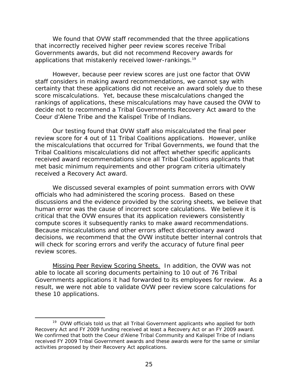applications that mistakenly received lower-rankings.<sup>19</sup> We found that OVW staff recommended that the three applications that incorrectly received higher peer review scores receive Tribal Governments awards, but did not recommend Recovery awards for

However, because peer review scores are just one factor that OVW staff considers in making award recommendations, we cannot say with certainty that these applications did not receive an award solely due to these score miscalculations. Yet, because these miscalculations changed the rankings of applications, these miscalculations may have caused the OVW to decide not to recommend a Tribal Governments Recovery Act award to the Coeur d'Alene Tribe and the Kalispel Tribe of Indians.

Our testing found that OVW staff also miscalculated the final peer review score for 4 out of 11 Tribal Coalitions applications. However, unlike the miscalculations that occurred for Tribal Governments, we found that the Tribal Coalitions miscalculations did not affect whether specific applicants received award recommendations since all Tribal Coalitions applicants that met basic minimum requirements and other program criteria ultimately received a Recovery Act award.

We discussed several examples of point summation errors with OVW officials who had administered the scoring process. Based on these discussions and the evidence provided by the scoring sheets, we believe that human error was the cause of incorrect score calculations. We believe it is critical that the OVW ensures that its application reviewers consistently compute scores it subsequently ranks to make award recommendations. Because miscalculations and other errors affect discretionary award decisions, we recommend that the OVW institute better internal controls that will check for scoring errors and verify the accuracy of future final peer review scores.

*Missing Peer Review Scoring Sheets.* In addition, the OVW was not able to locate all scoring documents pertaining to 10 out of 76 Tribal Governments applications it had forwarded to its employees for review. As a result, we were not able to validate OVW peer review score calculations for these 10 applications.

<sup>&</sup>lt;sup>19</sup> OVW officials told us that all Tribal Government applicants who applied for both Recovery Act and FY 2009 funding received at least a Recovery Act or an FY 2009 award. We confirmed that both the Coeur d'Alene Tribal Community and Kalispel Tribe of Indians received FY 2009 Tribal Government awards and these awards were for the same or similar activities proposed by their Recovery Act applications.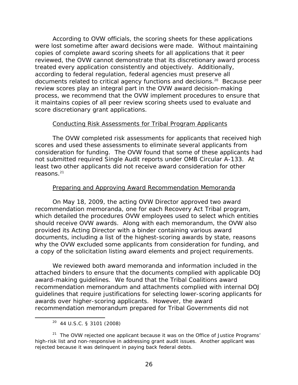According to OVW officials, the scoring sheets for these applications were lost sometime after award decisions were made. Without maintaining copies of complete award scoring sheets for all applications that it peer reviewed, the OVW cannot demonstrate that its discretionary award process treated every application consistently and objectively. Additionally, according to federal regulation, federal agencies must preserve all documents related to critical agency functions and decisions.20 Because peer review scores play an integral part in the OVW award decision-making process, we recommend that the OVW implement procedures to ensure that it maintains copies of all peer review scoring sheets used to evaluate and score discretionary grant applications.

#### Conducting Risk Assessments for Tribal Program Applicants

The OVW completed risk assessments for applicants that received high scores and used these assessments to eliminate several applicants from consideration for funding. The OVW found that some of these applicants had not submitted required Single Audit reports under OMB Circular A-133. At least two other applicants did not receive award consideration for other reasons.21

#### Preparing and Approving Award Recommendation Memoranda

On May 18, 2009, the acting OVW Director approved two award recommendation memoranda, one for each Recovery Act Tribal program, which detailed the procedures OVW employees used to select which entities should receive OVW awards. Along with each memorandum, the OVW also provided its Acting Director with a binder containing various award documents, including a list of the highest-scoring awards by state, reasons why the OVW excluded some applicants from consideration for funding, and a copy of the solicitation listing award elements and project requirements.

We reviewed both award memoranda and information included in the attached binders to ensure that the documents complied with applicable DOJ award-making guidelines. We found that the Tribal Coalitions award recommendation memorandum and attachments complied with internal DOJ guidelines that require justifications for selecting lower-scoring applicants for awards over higher-scoring applicants. However, the award recommendation memorandum prepared for Tribal Governments did not

1

<sup>20 44</sup> U.S.C. § 3101 (2008)

<sup>&</sup>lt;sup>21</sup> The OVW rejected one applicant because it was on the Office of Justice Programs' high-risk list and non-responsive in addressing grant audit issues. Another applicant was rejected because it was delinquent in paying back federal debts.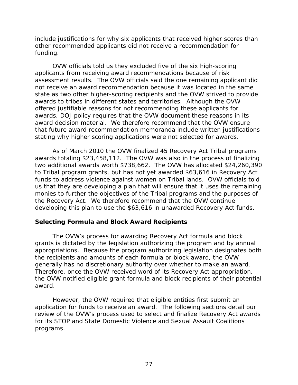<span id="page-42-0"></span>include justifications for why six applicants that received higher scores than other recommended applicants did not receive a recommendation for funding.

OVW officials told us they excluded five of the six high-scoring applicants from receiving award recommendations because of risk assessment results. The OVW officials said the one remaining applicant did not receive an award recommendation because it was located in the same state as two other higher-scoring recipients and the OVW strived to provide awards to tribes in different states and territories. Although the OVW offered justifiable reasons for not recommending these applicants for awards, DOJ policy requires that the OVW document these reasons in its award decision material. We therefore recommend that the OVW ensure that future award recommendation memoranda include written justifications stating why higher scoring applications were not selected for awards.

As of March 2010 the OVW finalized 45 Recovery Act Tribal programs awards totaling \$23,458,112. The OVW was also in the process of finalizing two additional awards worth \$738,662. The OVW has allocated \$24,260,390 to Tribal program grants, but has not yet awarded \$63,616 in Recovery Act funds to address violence against women on Tribal lands. OVW officials told us that they are developing a plan that will ensure that it uses the remaining monies to further the objectives of the Tribal programs and the purposes of the Recovery Act. We therefore recommend that the OVW continue developing this plan to use the \$63,616 in unawarded Recovery Act funds.

#### **Selecting Formula and Block Award Recipients**

The OVW's process for awarding Recovery Act formula and block grants is dictated by the legislation authorizing the program and by annual appropriations. Because the program authorizing legislation designates both the recipients and amounts of each formula or block award, the OVW generally has no discretionary authority over whether to make an award. Therefore, once the OVW received word of its Recovery Act appropriation, the OVW notified eligible grant formula and block recipients of their potential award.

However, the OVW required that eligible entities first submit an application for funds to receive an award. The following sections detail our review of the OVW's process used to select and finalize Recovery Act awards for its STOP and State Domestic Violence and Sexual Assault Coalitions programs.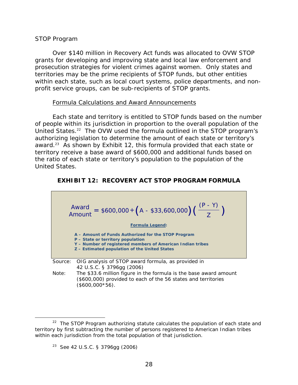#### <span id="page-43-0"></span>*STOP Program*

Over \$140 million in Recovery Act funds was allocated to OVW STOP grants for developing and improving state and local law enforcement and prosecution strategies for violent crimes against women. Only states and territories may be the prime recipients of STOP funds, but other entities within each state, such as local court systems, police departments, and nonprofit service groups, can be sub-recipients of STOP grants.

#### Formula Calculations and Award Announcements

Each state and territory is entitled to STOP funds based on the number of people within its jurisdiction in proportion to the overall population of the United States.<sup>22</sup> The OVW used the formula outlined in the STOP program's authorizing legislation to determine the amount of each state or territory's award.23 As shown by Exhibit 12, this formula provided that each state or territory receive a base award of \$600,000 and additional funds based on the ratio of each state or territory's population to the population of the United States.

#### **EXHIBIT 12: RECOVERY ACT STOP PROGRAM FORMULA**



<sup>23</sup> See 42 U.S.C. § 3796gg (2006)

 $22$  The STOP Program authorizing statute calculates the population of each state and territory by first subtracting the number of persons registered to American Indian tribes within each jurisdiction from the total population of that jurisdiction.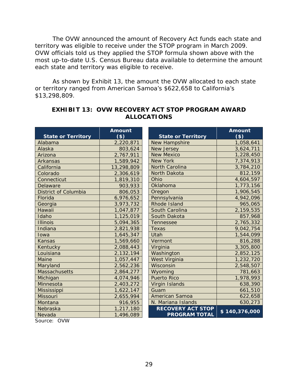each state and territory was eligible to receive. The OVW announced the amount of Recovery Act funds each state and territory was eligible to receive under the STOP program in March 2009. OVW officials told us they applied the STOP formula shown above with the most up-to-date U.S. Census Bureau data available to determine the amount

As shown by Exhibit 13, the amount the OVW allocated to each state or territory ranged from American Samoa's \$622,658 to California's \$13,298,809.

| <b>State or Territory</b>   | Amount<br>$($ \$) | <b>State or Territory</b> | <b>Amount</b><br>$($ \$) |
|-----------------------------|-------------------|---------------------------|--------------------------|
| Alabama                     | 2,220,871         | New Hampshire             | 1,058,641                |
| Alaska                      | 803,624           | <b>New Jersey</b>         | 3,624,711                |
| Arizona                     | 2,767,911         | <b>New Mexico</b>         | 1,228,450                |
| Arkansas                    | 1,589,942         | New York                  | 7,374,913                |
| California                  | 13,298,809        | <b>North Carolina</b>     | 3,784,210                |
| Colorado                    | 2,306,619         | North Dakota              | 812,159                  |
| Connecticut                 | 1,819,310         | Ohio                      | 4,604,597                |
| Delaware                    | 903,933           | Oklahoma                  | 1,773,156                |
| <b>District of Columbia</b> | 806,053           | Oregon                    | 1,906,545                |
| Florida                     | 6,976,652         | Pennsylvania              | 4,942,096                |
| Georgia                     | 3,973,732         | Rhode Island              | 965,065                  |
| Hawaii                      | 1,047,877         | South Carolina            | 2,159,535                |
| Idaho                       | 1,125,019         | South Dakota              | 857,968                  |
| <b>Illinois</b>             | 5,094,365         | <b>Tennessee</b>          | 2,765,332                |
| Indiana                     | 2,821,938         | Texas                     | 9,042,754                |
| Iowa                        | 1,645,347         | Utah                      | 1,544,099                |
| <b>Kansas</b>               | 1,569,660         | Vermont                   | 816,288                  |
| Kentucky                    | 2,088,443         | Virginia                  | 3,305,800                |
| Louisiana                   | 2,132,194         | Washington                | 2,852,125                |
| Maine                       | 1,057,447         | West Virginia             | 1,232,720                |
| Maryland                    | 2,562,236         | Wisconsin                 | 2,548,507                |
| <b>Massachusetts</b>        | 2,864,277         | Wyoming                   | 781,663                  |
| Michigan                    | 4,074,946         | <b>Puerto Rico</b>        | 1,978,993                |
| Minnesota                   | 2,403,272         | Virgin Islands            | 638,390                  |
| Mississippi                 | 1,622,147         | Guam                      | 661,510                  |
| <b>Missouri</b>             | 2,655,994         | <b>American Samoa</b>     | 622,658                  |
| Montana                     | 916,955           | N. Mariana Islands        | 630,273                  |
| Nebraska                    | 1,217,180         | <b>RECOVERY ACT STOP</b>  | \$140,376,000            |
| Nevada                      | 1,496,089         | <b>PROGRAM TOTAL</b>      |                          |

### **EXHIBIT 13: OVW RECOVERY ACT STOP PROGRAM AWARD ALLOCATIONS**

Source: OVW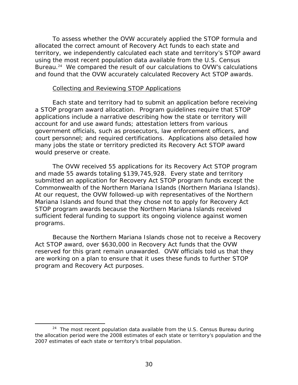To assess whether the OVW accurately applied the STOP formula and allocated the correct amount of Recovery Act funds to each state and territory, we independently calculated each state and territory's STOP award using the most recent population data available from the U.S. Census Bureau.<sup>24</sup> We compared the result of our calculations to OVW's calculations and found that the OVW accurately calculated Recovery Act STOP awards.

#### Collecting and Reviewing STOP Applications

Each state and territory had to submit an application before receiving a STOP program award allocation. Program guidelines require that STOP applications include a narrative describing how the state or territory will account for and use award funds; attestation letters from various government officials, such as prosecutors, law enforcement officers, and court personnel; and required certifications. Applications also detailed how many jobs the state or territory predicted its Recovery Act STOP award would preserve or create.

The OVW received 55 applications for its Recovery Act STOP program and made 55 awards totaling \$139,745,928. Every state and territory submitted an application for Recovery Act STOP program funds except the Commonwealth of the Northern Mariana Islands (Northern Mariana Islands). At our request, the OVW followed-up with representatives of the Northern Mariana Islands and found that they chose not to apply for Recovery Act STOP program awards because the Northern Mariana Islands received sufficient federal funding to support its ongoing violence against women programs.

Because the Northern Mariana Islands chose not to receive a Recovery Act STOP award, over \$630,000 in Recovery Act funds that the OVW reserved for this grant remain unawarded. OVW officials told us that they are working on a plan to ensure that it uses these funds to further STOP program and Recovery Act purposes.

 $24$  The most recent population data available from the U.S. Census Bureau during the allocation period were the 2008 estimates of each state or territory's population and the 2007 estimates of each state or territory's tribal population.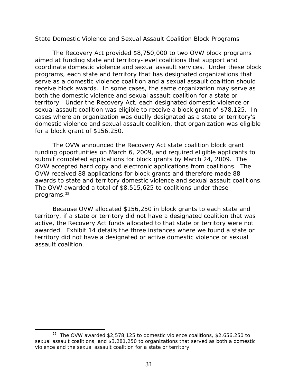#### <span id="page-46-0"></span>*State Domestic Violence and Sexual Assault Coalition Block Programs*

The Recovery Act provided \$8,750,000 to two OVW block programs aimed at funding state and territory-level coalitions that support and coordinate domestic violence and sexual assault services. Under these block programs, each state and territory that has designated organizations that serve as a domestic violence coalition and a sexual assault coalition should receive block awards. In some cases, the same organization may serve as both the domestic violence and sexual assault coalition for a state or territory. Under the Recovery Act, each designated domestic violence or sexual assault coalition was eligible to receive a block grant of \$78,125. In cases where an organization was dually designated as a state or territory's domestic violence and sexual assault coalition, that organization was eligible for a block grant of \$156,250.

The OVW announced the Recovery Act state coalition block grant funding opportunities on March 6, 2009, and required eligible applicants to submit completed applications for block grants by March 24, 2009. The OVW accepted hard copy and electronic applications from coalitions. The OVW received 88 applications for block grants and therefore made 88 awards to state and territory domestic violence and sexual assault coalitions. The OVW awarded a total of \$8,515,625 to coalitions under these programs.25

Because OVW allocated \$156,250 in block grants to each state and territory, if a state or territory did not have a designated coalition that was active, the Recovery Act funds allocated to that state or territory were not awarded. Exhibit 14 details the three instances where we found a state or territory did not have a designated or active domestic violence or sexual assault coalition.

 $25$  The OVW awarded \$2,578,125 to domestic violence coalitions, \$2,656,250 to sexual assault coalitions, and \$3,281,250 to organizations that served as both a domestic violence and the sexual assault coalition for a state or territory.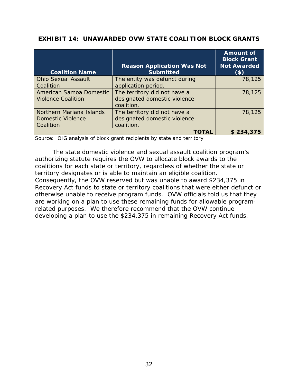|  | <b>EXHIBIT 14: UNAWARDED OVW STATE COALITION BLOCK GRANTS</b> |  |  |  |
|--|---------------------------------------------------------------|--|--|--|
|--|---------------------------------------------------------------|--|--|--|

|                            | <b>Reason Application Was Not</b> | <b>Amount of</b><br><b>Block Grant</b><br><b>Not Awarded</b> |
|----------------------------|-----------------------------------|--------------------------------------------------------------|
| <b>Coalition Name</b>      | <b>Submitted</b>                  | $($ \$)                                                      |
| <b>Ohio Sexual Assault</b> | The entity was defunct during     | 78,125                                                       |
| Coalition                  | application period.               |                                                              |
| American Samoa Domestic    | The territory did not have a      | 78,125                                                       |
| Violence Coalition         | designated domestic violence      |                                                              |
|                            | coalition.                        |                                                              |
| Northern Mariana Islands   | The territory did not have a      | 78,125                                                       |
| <b>Domestic Violence</b>   | designated domestic violence      |                                                              |
| Coalition                  | coalition.                        |                                                              |
|                            | <b>TOTAL</b>                      | \$234,375                                                    |

Source: OIG analysis of block grant recipients by state and territory

The state domestic violence and sexual assault coalition program's authorizing statute requires the OVW to allocate block awards to the coalitions for each state or territory, regardless of whether the state or territory designates or is able to maintain an eligible coalition. Consequently, the OVW reserved but was unable to award \$234,375 in Recovery Act funds to state or territory coalitions that were either defunct or otherwise unable to receive program funds. OVW officials told us that they are working on a plan to use these remaining funds for allowable programrelated purposes. We therefore recommend that the OVW continue developing a plan to use the \$234,375 in remaining Recovery Act funds.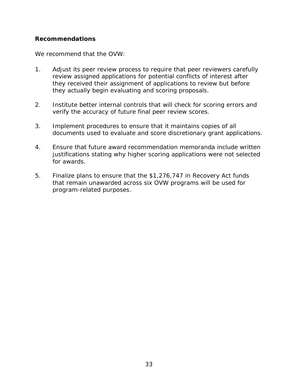#### <span id="page-48-0"></span>**Recommendations**

We recommend that the OVW:

- 1. Adjust its peer review process to require that peer reviewers carefully review assigned applications for potential conflicts of interest after they received their assignment of applications to review but before they actually begin evaluating and scoring proposals.
- 2. Institute better internal controls that will check for scoring errors and verify the accuracy of future final peer review scores.
- 3. Implement procedures to ensure that it maintains copies of all documents used to evaluate and score discretionary grant applications.
- 4. Ensure that future award recommendation memoranda include written justifications stating why higher scoring applications were not selected for awards.
- 5. Finalize plans to ensure that the \$1,276,747 in Recovery Act funds that remain unawarded across six OVW programs will be used for program-related purposes.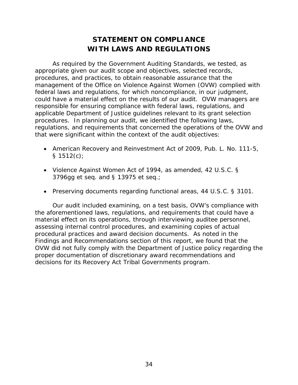# **STATEMENT ON COMPLIANCE WITH LAWS AND REGULATIONS**

<span id="page-49-0"></span>As required by the *Government Auditing Standards,* we tested, as appropriate given our audit scope and objectives, selected records, procedures, and practices, to obtain reasonable assurance that the management of the Office on Violence Against Women (OVW) complied with federal laws and regulations, for which noncompliance, in our judgment, could have a material effect on the results of our audit. OVW managers are responsible for ensuring compliance with federal laws, regulations, and applicable Department of Justice guidelines relevant to its grant selection procedures. In planning our audit, we identified the following laws, regulations, and requirements that concerned the operations of the OVW and that were significant within the context of the audit objectives:

- American Recovery and Reinvestment Act of 2009, Pub. L. No. 111-5,  $§ 1512(c)$ ;
- Violence Against Women Act of 1994, as amended, 42 U.S.C. § 3796gg et seq. and § 13975 et seq.;
- Preserving documents regarding functional areas, 44 U.S.C. § 3101.

Our audit included examining, on a test basis, OVW's compliance with the aforementioned laws, regulations, and requirements that could have a material effect on its operations, through interviewing auditee personnel, assessing internal control procedures, and examining copies of actual procedural practices and award decision documents. As noted in the Findings and Recommendations section of this report, we found that the OVW did not fully comply with the Department of Justice policy regarding the proper documentation of discretionary award recommendations and decisions for its Recovery Act Tribal Governments program.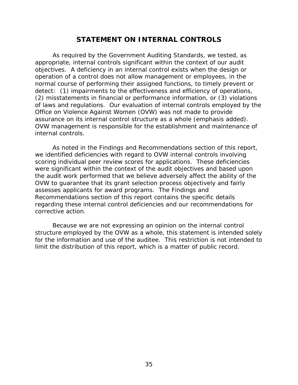### **STATEMENT ON INTERNAL CONTROLS**

<span id="page-50-0"></span>As required by the *Government Auditing Standards,* we tested, as appropriate, internal controls significant within the context of our audit objectives. A deficiency in an internal control exists when the design or operation of a control does not allow management or employees, in the normal course of performing their assigned functions, to timely prevent or detect: (1) impairments to the effectiveness and efficiency of operations, (2) misstatements in financial or performance information, or (3) violations of laws and regulations. Our evaluation of internal controls employed by the Office on Violence Against Women (OVW) was *not* made to provide assurance on its internal control structure as a whole (emphasis added). OVW management is responsible for the establishment and maintenance of internal controls.

As noted in the Findings and Recommendations section of this report, we identified deficiencies with regard to OVW internal controls involving scoring individual peer review scores for applications. These deficiencies were significant within the context of the audit objectives and based upon the audit work performed that we believe adversely affect the ability of the OVW to guarantee that its grant selection process objectively and fairly assesses applicants for award programs. The Findings and Recommendations section of this report contains the specific details regarding these internal control deficiencies and our recommendations for corrective action.

Because we are not expressing an opinion on the internal control structure employed by the OVW as a whole, this statement is intended solely for the information and use of the auditee. This restriction is not intended to limit the distribution of this report, which is a matter of public record.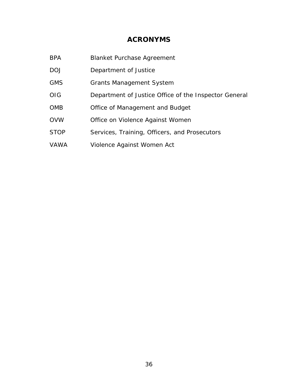### **ACRONYMS**

- <span id="page-51-0"></span>BPA Blanket Purchase Agreement
- DOJ Department of Justice
- GMS Grants Management System
- OIG Department of Justice Office of the Inspector General
- OMB Office of Management and Budget
- OVW Office on Violence Against Women
- STOP Services, Training, Officers, and Prosecutors
- VAWA Violence Against Women Act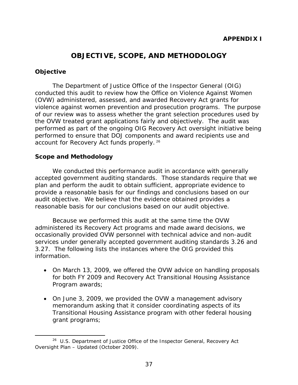### **OBJECTIVE, SCOPE, AND METHODOLOGY**

#### <span id="page-52-0"></span>**Objective**

 $\overline{a}$ 

The Department of Justice Office of the Inspector General (OIG) conducted this audit to review how the Office on Violence Against Women (OVW) administered, assessed, and awarded Recovery Act grants for violence against women prevention and prosecution programs. The purpose of our review was to assess whether the grant selection procedures used by the OVW treated grant applications fairly and objectively. The audit was performed as part of the ongoing OIG Recovery Act oversight initiative being performed to ensure that DOJ components and award recipients use and account for Recovery Act funds properly. 26

#### **Scope and Methodology**

We conducted this performance audit in accordance with generally accepted government auditing standards. Those standards require that we plan and perform the audit to obtain sufficient, appropriate evidence to provide a reasonable basis for our findings and conclusions based on our audit objective. We believe that the evidence obtained provides a reasonable basis for our conclusions based on our audit objective.

Because we performed this audit at the same time the OVW administered its Recovery Act programs and made award decisions, we occasionally provided OVW personnel with technical advice and non-audit services under generally accepted government auditing standards 3.26 and 3.27. The following lists the instances where the OIG provided this information.

- On March 13, 2009, we offered the OVW advice on handling proposals for both FY 2009 and Recovery Act Transitional Housing Assistance Program awards;
- On June 3, 2009, we provided the OVW a management advisory memorandum asking that it consider coordinating aspects of its Transitional Housing Assistance program with other federal housing grant programs;

<sup>26</sup> U.S. Department of Justice Office of the Inspector General, *Recovery Act Oversight Plan – Updated* (October 2009).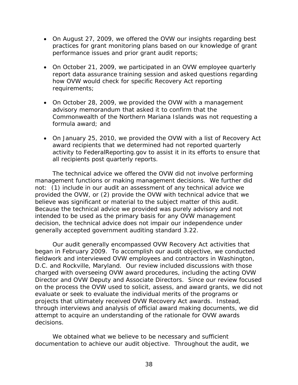- On August 27, 2009, we offered the OVW our insights regarding best practices for grant monitoring plans based on our knowledge of grant performance issues and prior grant audit reports;
- On October 21, 2009, we participated in an OVW employee quarterly report data assurance training session and asked questions regarding how OVW would check for specific Recovery Act reporting requirements;
- On October 28, 2009, we provided the OVW with a management advisory memorandum that asked it to confirm that the Commonwealth of the Northern Mariana Islands was not requesting a formula award; and
- On January 25, 2010, we provided the OVW with a list of Recovery Act award recipients that we determined had not reported quarterly activity to FederalReporting.gov to assist it in its efforts to ensure that all recipients post quarterly reports.

The technical advice we offered the OVW did not involve performing management functions or making management decisions. We further did not: (1) include in our audit an assessment of any technical advice we provided the OVW, or (2) provide the OVW with technical advice that we believe was significant or material to the subject matter of this audit. Because the technical advice we provided was purely advisory and not intended to be used as the primary basis for any OVW management decision, the technical advice does not impair our independence under generally accepted government auditing standard 3.22.

Our audit generally encompassed OVW Recovery Act activities that began in February 2009. To accomplish our audit objective, we conducted fieldwork and interviewed OVW employees and contractors in Washington, D.C. and Rockville, Maryland. Our review included discussions with those charged with overseeing OVW award procedures, including the acting OVW Director and OVW Deputy and Associate Directors. Since our review focused on the process the OVW used to solicit, assess, and award grants, we did not evaluate or seek to evaluate the individual merits of the programs or projects that ultimately received OVW Recovery Act awards. Instead, through interviews and analysis of official award making documents, we did attempt to acquire an understanding of the rationale for OVW awards decisions.

We obtained what we believe to be necessary and sufficient documentation to achieve our audit objective. Throughout the audit, we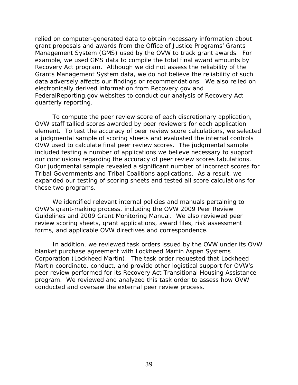relied on computer-generated data to obtain necessary information about grant proposals and awards from the Office of Justice Programs' Grants Management System (GMS) used by the OVW to track grant awards. For example, we used GMS data to compile the total final award amounts by Recovery Act program. Although we did not assess the reliability of the Grants Management System data, we do not believe the reliability of such data adversely affects our findings or recommendations. We also relied on electronically derived information from Recovery.gov and FederalReporting.gov websites to conduct our analysis of Recovery Act quarterly reporting.

To compute the peer review score of each discretionary application, OVW staff tallied scores awarded by peer reviewers for each application element. To test the accuracy of peer review score calculations, we selected a judgmental sample of scoring sheets and evaluated the internal controls OVW used to calculate final peer review scores. The judgmental sample included testing a number of applications we believe necessary to support our conclusions regarding the accuracy of peer review scores tabulations. Our judgmental sample revealed a significant number of incorrect scores for Tribal Governments and Tribal Coalitions applications. As a result, we expanded our testing of scoring sheets and tested all score calculations for these two programs.

We identified relevant internal policies and manuals pertaining to OVW's grant-making process, including the OVW 2009 Peer Review Guidelines and 2009 Grant Monitoring Manual. We also reviewed peer review scoring sheets, grant applications, award files, risk assessment forms, and applicable OVW directives and correspondence.

In addition, we reviewed task orders issued by the OVW under its OVW blanket purchase agreement with Lockheed Martin Aspen Systems Corporation (Lockheed Martin). The task order requested that Lockheed Martin coordinate, conduct, and provide other logistical support for OVW's peer review performed for its Recovery Act Transitional Housing Assistance program. We reviewed and analyzed this task order to assess how OVW conducted and oversaw the external peer review process.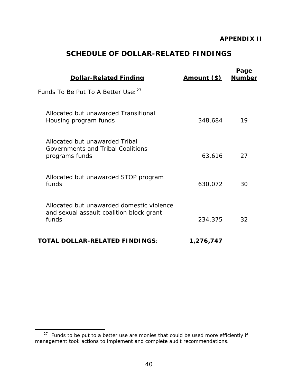# **SCHEDULE OF DOLLAR-RELATED FINDINGS**

| <b>Dollar-Related Finding</b>                                                                  | <u>Amount (\$)</u> | Page<br><b>Number</b> |
|------------------------------------------------------------------------------------------------|--------------------|-----------------------|
| Funds To Be Put To A Better Use: 27                                                            |                    |                       |
| Allocated but unawarded Transitional<br>Housing program funds                                  | 348,684            | 19                    |
| Allocated but unawarded Tribal<br>Governments and Tribal Coalitions<br>programs funds          | 63,616             | 27                    |
| Allocated but unawarded STOP program<br>funds                                                  | 630,072            | 30                    |
| Allocated but unawarded domestic violence<br>and sexual assault coalition block grant<br>funds | 234,375            | 32                    |
| <b>TOTAL DOLLAR-RELATED FINDINGS:</b>                                                          | <u>1,276,747</u>   |                       |

 <sup>27</sup>*Funds to be put to a better use* are monies that could be used more efficiently if management took actions to implement and complete audit recommendations.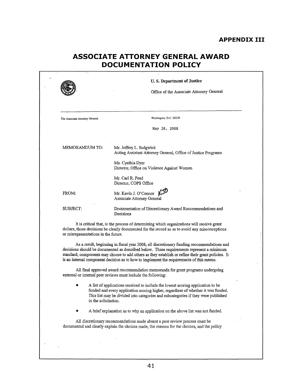#### **APPENDIX III**

# **ASSOCIATE ATTORNEY GENERAL AWARD DOCUMENTATION POLICY**

|                                      | U.S. Department of Justice                                                                                                                                                                                                                                                                                                                                                              |
|--------------------------------------|-----------------------------------------------------------------------------------------------------------------------------------------------------------------------------------------------------------------------------------------------------------------------------------------------------------------------------------------------------------------------------------------|
|                                      | Office of the Associate Attorney General                                                                                                                                                                                                                                                                                                                                                |
|                                      |                                                                                                                                                                                                                                                                                                                                                                                         |
| The Associate Attorney General       | Washington, D.C. 20530                                                                                                                                                                                                                                                                                                                                                                  |
|                                      | May 28, 2008                                                                                                                                                                                                                                                                                                                                                                            |
| MEMORANDUM TO:                       | Mr. Jeffrey L. Sedgwick<br>Acting Assistant Attorney General, Office of Justice Programs                                                                                                                                                                                                                                                                                                |
|                                      | Ms. Cynthia Dyer<br>Director, Office on Violence Against Women                                                                                                                                                                                                                                                                                                                          |
|                                      | Mr. Carl R. Peed<br>Director, COPS Office                                                                                                                                                                                                                                                                                                                                               |
| FROM:                                | Mr. Kevin J. O'Connor $\sqrt{3}$<br><b>Associate Attorney General</b>                                                                                                                                                                                                                                                                                                                   |
| SUBJECT:                             | Documentation of Discretionary Award Recommendations and<br>Decisions                                                                                                                                                                                                                                                                                                                   |
| or misrepresentations in the future. | It is critical that, in the process of determining which organizations will receive grant<br>dollars, those decisions be clearly documented for the record so as to avoid any misconceptions                                                                                                                                                                                            |
|                                      | As a result, beginning in fiscal year 2008, all discretionary funding recommendations and<br>decisions should be documented as described below. These requirements represent a minimum<br>standard; components may choose to add others as they establish or refine their grant policies. It<br>is an internal component decision as to how to implement the requirements of this memo. |
|                                      | All final approved award recommendation memoranda for grant programs undergoing<br>external or internal peer reviews must include the following:                                                                                                                                                                                                                                        |
| in the solicitation.                 | A list of applications received to include the lowest scoring application to be<br>funded and every application scoring higher, regardless of whether it was funded.<br>This list may be divided into categories and subcategories if they were published                                                                                                                               |
|                                      | A brief explanation as to why an application on the above list was not funded.                                                                                                                                                                                                                                                                                                          |
|                                      | All discretionary recommendations made absent a peer review process must be<br>documented and clearly explain the choices made, the reasons for the choices, and the policy                                                                                                                                                                                                             |
|                                      |                                                                                                                                                                                                                                                                                                                                                                                         |
|                                      |                                                                                                                                                                                                                                                                                                                                                                                         |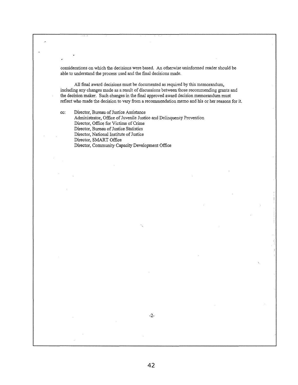considerations on which the decisions were based. An otherwise uninfonned reader should be able to understand the process used and the final decisions made.

All final award decisions must be documented as required by this memorandum, including any changes made as a result of discussions between those recommending grants and the decision maker. Such changes in the fmal approved award decision memorandum must reflect who made the decision to vary from a recommendation memo and his or her reasons for it.

cc: Director, Bureau of Justice Assistance Administrator, Office of Juvenile Justice and Delinquency Prevention Director, Office for Victims of Crime Director, Bureau of Justice Statistics Director, National Institute of Justice Director, SMART Office Director, Community Capacity Development Office

....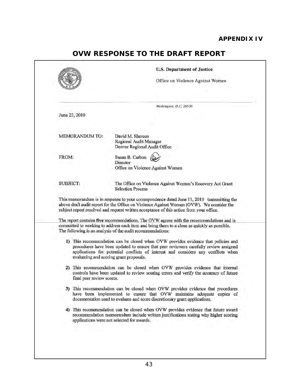### **APPENDIX IV**

# **OVW RESPONSE TO THE DRAFT REPORT**

|       |                                                                                                          | <b>U.S. Department of Justice</b><br>Office on Violence Against Women                                                                                                                                                                                                                                     |
|-------|----------------------------------------------------------------------------------------------------------|-----------------------------------------------------------------------------------------------------------------------------------------------------------------------------------------------------------------------------------------------------------------------------------------------------------|
|       |                                                                                                          |                                                                                                                                                                                                                                                                                                           |
|       |                                                                                                          | Washington, D.C. 20530                                                                                                                                                                                                                                                                                    |
|       | June 23, 2010                                                                                            |                                                                                                                                                                                                                                                                                                           |
|       | <b>MEMORANDUM TO:</b>                                                                                    | David M. Shereen<br>Regional Audit Manager<br>Denver Regional Audit Office                                                                                                                                                                                                                                |
| FROM: |                                                                                                          | Susan B. Carbon<br>Director<br>Office on Violence Against Women                                                                                                                                                                                                                                           |
|       | <b>SUBJECT:</b><br>The Office on Violence Against Women's Recovery Act Grant<br><b>Selection Process</b> |                                                                                                                                                                                                                                                                                                           |
|       |                                                                                                          | This memorandum is in response to your correspondence dated June 11, 2010 transmitting the<br>above draft audit report for the Office on Violence Against Women (OVW). We consider the<br>subject report resolved and request written acceptance of this action from your office.                         |
|       |                                                                                                          | The report contains five recommendations. The OVW agrees with the recommendations and is<br>committed to working to address each item and bring them to a close as quickly as possible.<br>The following is an analysis of the audit recommendations:                                                     |
|       |                                                                                                          | 1) This recommendation can be closed when OVW provides evidence that policies and<br>procedures have been updated to ensure that peer reviewers carefully review assigned<br>applications for potential conflicts of interest and considers any conflicts when<br>evaluating and scoring grant proposals. |
|       | final peer review scores.                                                                                | 2) This recommendation can be closed when OVW provides evidence that internal<br>controls have been updated to review scoring errors and verify the accuracy of future                                                                                                                                    |
|       |                                                                                                          |                                                                                                                                                                                                                                                                                                           |
|       |                                                                                                          | 3) This recommendation can be closed when OVW provides evidence that procedures<br>have been implemented to ensure that OVW maintains adequate copies of<br>documentation used to evaluate and score discretionary grant applications.                                                                    |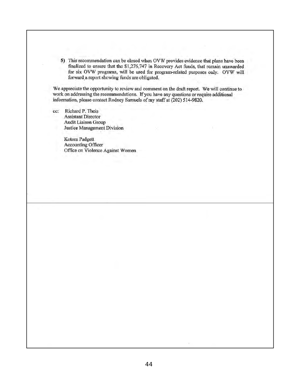5) This recommendation can be closed when OVW provides evidence that plans have been finalized to ensure that the \$1,276,747 in Recovery Act funds, that remain unawarded for six OVW programs, will be used for program-related purposes only. OVW will forward a report showing funds are obligated.

We appreciate the opportunity to review and comment on the draft report. We will continue to work on addressing the recommendations. If you have any questions or require additional information, please contact Rodney Samuels of my staff at (202) 514-9820.

cc: Richard P. Theis<br>Assistant Director Audit Liaison Group

> Kotora Padgett Accounting Officer<br>Office on Violence Against Women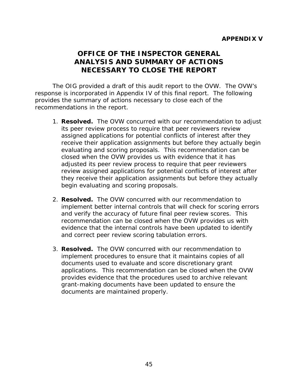# **OFFICE OF THE INSPECTOR GENERAL ANALYSIS AND SUMMARY OF ACTIONS NECESSARY TO CLOSE THE REPORT**

The OIG provided a draft of this audit report to the OVW. The OVW's response is incorporated in Appendix IV of this final report. The following provides the summary of actions necessary to close each of the recommendations in the report.

- 1. **Resolved.** The OVW concurred with our recommendation to adjust its peer review process to require that peer reviewers review assigned applications for potential conflicts of interest after they receive their application assignments but before they actually begin evaluating and scoring proposals. This recommendation can be closed when the OVW provides us with evidence that it has adjusted its peer review process to require that peer reviewers review assigned applications for potential conflicts of interest after they receive their application assignments but before they actually begin evaluating and scoring proposals.
- 2. **Resolved.** The OVW concurred with our recommendation to implement better internal controls that will check for scoring errors and verify the accuracy of future final peer review scores. This recommendation can be closed when the OVW provides us with evidence that the internal controls have been updated to identify and correct peer review scoring tabulation errors.
- 3. **Resolved.** The OVW concurred with our recommendation to implement procedures to ensure that it maintains copies of all documents used to evaluate and score discretionary grant applications. This recommendation can be closed when the OVW provides evidence that the procedures used to archive relevant grant-making documents have been updated to ensure the documents are maintained properly.